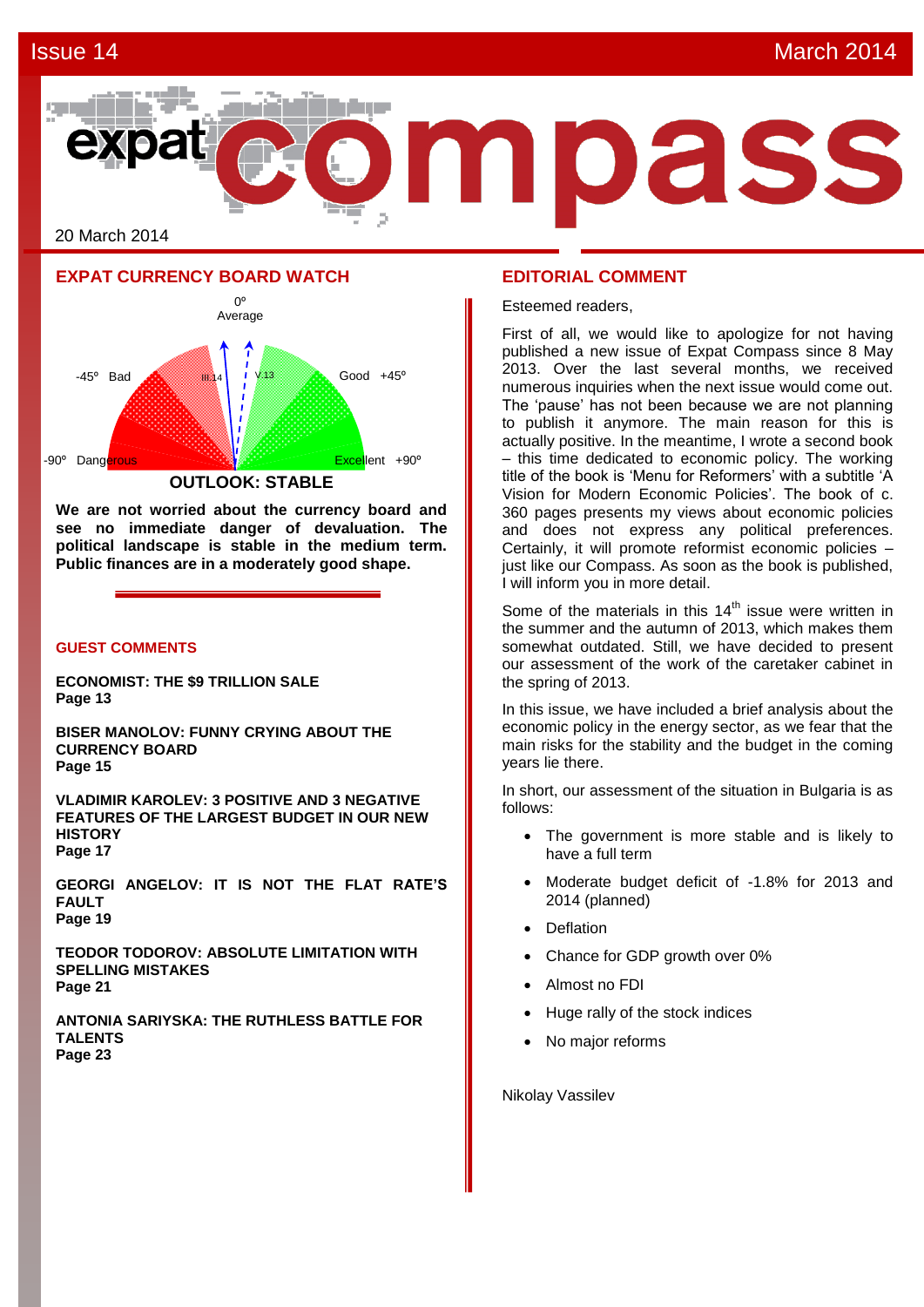

**EXPAT CURRENCY BOARD WATCH**



**We are not worried about the currency board and see no immediate danger of devaluation. The political landscape is stable in the medium term. Public finances are in a moderately good shape.** 

#### **GUEST COMMENTS**

**ECONOMIST: THE \$9 TRILLION SALE Page 13**

**BISER MANOLOV: FUNNY CRYING ABOUT THE CURRENCY BOARD Page 15**

**VLADIMIR KAROLEV: 3 POSITIVE AND 3 NEGATIVE FEATURES OF THE LARGEST BUDGET IN OUR NEW HISTORY Page 17**

**GEORGI ANGELOV: IT IS NOT THE FLAT RATE'S FAULT Page 19**

**TEODOR TODOROV: ABSOLUTE LIMITATION WITH SPELLING MISTAKES Page 21**

**ANTONIA SARIYSKA: THE RUTHLESS BATTLE FOR TALENTS Page 23**

#### **EDITORIAL COMMENT**

Esteemed readers,

First of all, we would like to apologize for not having published a new issue of Expat Compass since 8 May 2013. Over the last several months, we received numerous inquiries when the next issue would come out. The 'pause' has not been because we are not planning to publish it anymore. The main reason for this is actually positive. In the meantime, I wrote a second book – this time dedicated to economic policy. The working title of the book is 'Menu for Reformers' with a subtitle 'A Vision for Modern Economic Policies'. The book of c. 360 pages presents my views about economic policies and does not express any political preferences. Certainly, it will promote reformist economic policies – just like our Compass. As soon as the book is published, I will inform you in more detail.

Some of the materials in this  $14<sup>th</sup>$  issue were written in the summer and the autumn of 2013, which makes them somewhat outdated. Still, we have decided to present our assessment of the work of the caretaker cabinet in the spring of 2013.

In this issue, we have included a brief analysis about the economic policy in the energy sector, as we fear that the main risks for the stability and the budget in the coming years lie there.

In short, our assessment of the situation in Bulgaria is as follows:

- The government is more stable and is likely to have a full term
- Moderate budget deficit of -1.8% for 2013 and 2014 (planned)
- Deflation
- Chance for GDP growth over 0%
- Almost no FDI
- Huge rally of the stock indices
- No major reforms

Nikolay Vassilev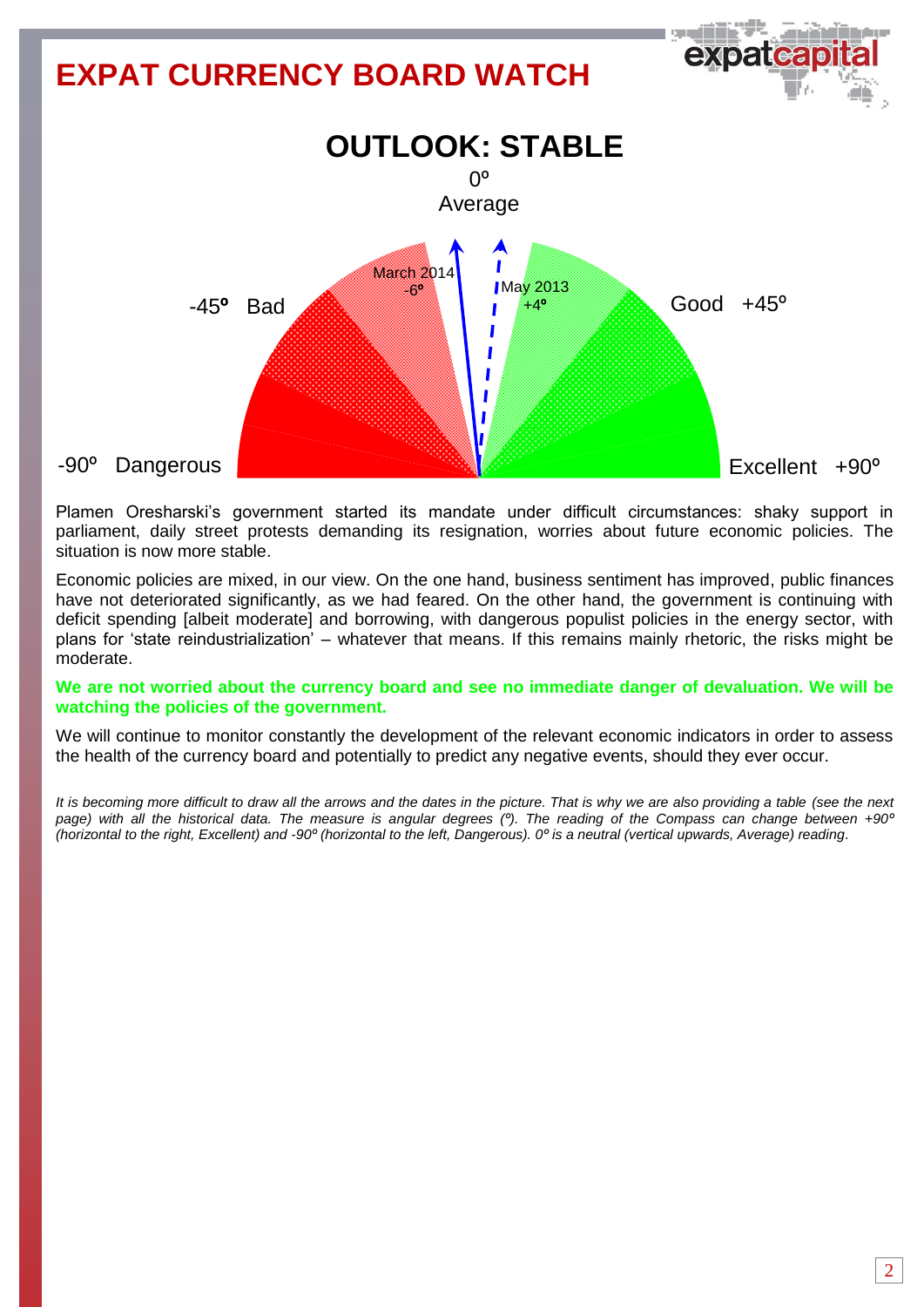# **EXPAT CURRENCY BOARD WATCH OUTLOOK: STABLE** -45**º** Bad -90º Dangerous  $0^{\circ}$ Average  $Good +45°$ Excellent +90º March 201 -6**º** May 2013 +4**º**

Plamen Oresharski's government started its mandate under difficult circumstances: shaky support in parliament, daily street protests demanding its resignation, worries about future economic policies. The situation is now more stable.

Economic policies are mixed, in our view. On the one hand, business sentiment has improved, public finances have not deteriorated significantly, as we had feared. On the other hand, the government is continuing with deficit spending [albeit moderate] and borrowing, with dangerous populist policies in the energy sector, with plans for 'state reindustrialization' – whatever that means. If this remains mainly rhetoric, the risks might be moderate.

### **We are not worried about the currency board and see no immediate danger of devaluation. We will be watching the policies of the government.**

We will continue to monitor constantly the development of the relevant economic indicators in order to assess the health of the currency board and potentially to predict any negative events, should they ever occur.

*It is becoming more difficult to draw all the arrows and the dates in the picture. That is why we are also providing a table (see the next page) with all the historical data. The measure is angular degrees (º). The reading of the Compass can change between +90º (horizontal to the right, Excellent) and -90º (horizontal to the left, Dangerous). 0º is a neutral (vertical upwards, Average) reading*.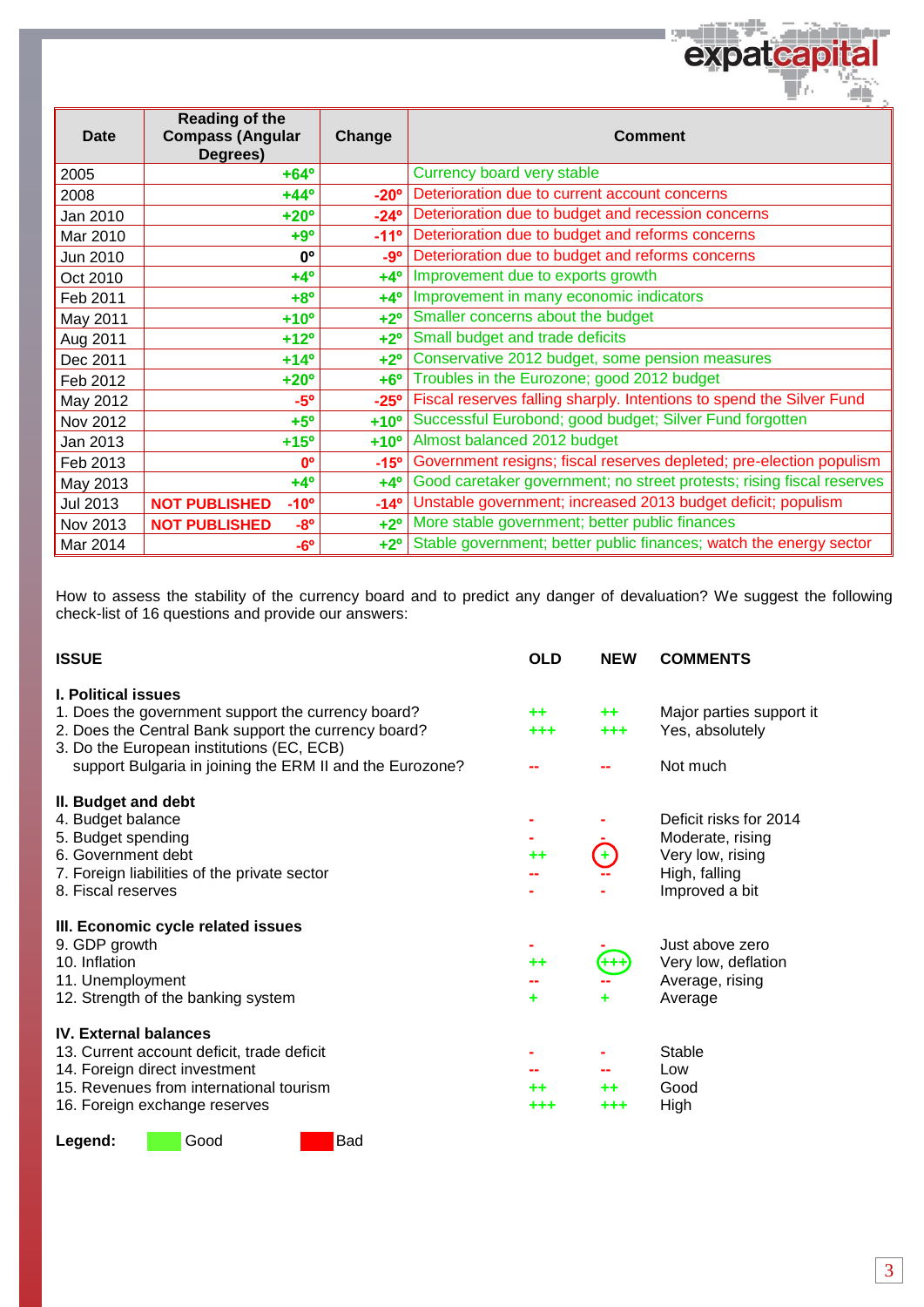|          |                                                              |               | <b>TALL</b><br>a ya                                                   |  |  |
|----------|--------------------------------------------------------------|---------------|-----------------------------------------------------------------------|--|--|
| Date     | <b>Reading of the</b><br><b>Compass (Angular</b><br>Degrees) | Change        | <b>Comment</b>                                                        |  |  |
| 2005     | $+64^{\circ}$                                                |               | Currency board very stable                                            |  |  |
| 2008     | $+44^{\circ}$                                                | $-20^\circ$   | Deterioration due to current account concerns                         |  |  |
| Jan 2010 | $+20^{\circ}$                                                | $-24^{\circ}$ | Deterioration due to budget and recession concerns                    |  |  |
| Mar 2010 | $+9°$                                                        | $-11^{\circ}$ | Deterioration due to budget and reforms concerns                      |  |  |
| Jun 2010 | $0^{\circ}$                                                  | -9°           | Deterioration due to budget and reforms concerns                      |  |  |
| Oct 2010 | $+4^{\circ}$                                                 | $+4^\circ$    | Improvement due to exports growth                                     |  |  |
| Feb 2011 | $+8^\circ$                                                   | $+4^\circ$    | Improvement in many economic indicators                               |  |  |
| May 2011 | $+10^{\circ}$                                                | $+2^{\circ}$  | Smaller concerns about the budget                                     |  |  |
| Aug 2011 | $+12^{\circ}$                                                | $+2^{\circ}$  | Small budget and trade deficits                                       |  |  |
| Dec 2011 | $+14^{\circ}$                                                | $+2^{\circ}$  | Conservative 2012 budget, some pension measures                       |  |  |
| Feb 2012 | $+20^\circ$                                                  | $+6^{\circ}$  | Troubles in the Eurozone; good 2012 budget                            |  |  |
| May 2012 | $-5^\circ$                                                   | $-25^\circ$   | Fiscal reserves falling sharply. Intentions to spend the Silver Fund  |  |  |
| Nov 2012 | $+5^\circ$                                                   | $+10^{\circ}$ | Successful Eurobond; good budget; Silver Fund forgotten               |  |  |
| Jan 2013 | $+15^{\circ}$                                                | $+10^{\circ}$ | Almost balanced 2012 budget                                           |  |  |
| Feb 2013 | $0^{\circ}$                                                  | $-15^{\circ}$ | Government resigns; fiscal reserves depleted; pre-election populism   |  |  |
| May 2013 | $+4^{\circ}$                                                 | $+4^\circ$    | Good caretaker government; no street protests; rising fiscal reserves |  |  |
| Jul 2013 | $-10o$<br><b>NOT PUBLISHED</b>                               | $-14^{\circ}$ | Unstable government; increased 2013 budget deficit; populism          |  |  |
| Nov 2013 | <b>NOT PUBLISHED</b><br>$-8^{\circ}$                         | $+2^{\circ}$  | More stable government; better public finances                        |  |  |
| Mar 2014 | $-6^{\circ}$                                                 | $+2^{\circ}$  | Stable government; better public finances; watch the energy sector    |  |  |

÷

expatcar

r yn diffic

**De die stan** 

How to assess the stability of the currency board and to predict any danger of devaluation? We suggest the following check-list of 16 questions and provide our answers:

| <b>ISSUE</b>                                                                                                                                                                                                                                      | <b>OLD</b>       | <b>NEW</b>       | <b>COMMENTS</b>                                                                                   |
|---------------------------------------------------------------------------------------------------------------------------------------------------------------------------------------------------------------------------------------------------|------------------|------------------|---------------------------------------------------------------------------------------------------|
| <b>I. Political issues</b><br>1. Does the government support the currency board?<br>2. Does the Central Bank support the currency board?<br>3. Do the European institutions (EC, ECB)<br>support Bulgaria in joining the ERM II and the Eurozone? | $+ +$<br>$+ + +$ | $+ +$<br>$+ + +$ | Major parties support it<br>Yes, absolutely<br>Not much                                           |
| II. Budget and debt<br>4. Budget balance<br>5. Budget spending<br>6. Government debt<br>7. Foreign liabilities of the private sector<br>8. Fiscal reserves                                                                                        | $+ +$            |                  | Deficit risks for 2014<br>Moderate, rising<br>Very low, rising<br>High, falling<br>Improved a bit |
| III. Economic cycle related issues<br>9. GDP growth<br>10. Inflation<br>11. Unemployment<br>12. Strength of the banking system                                                                                                                    | $+ +$<br>٠       |                  | Just above zero<br>Very low, deflation<br>Average, rising<br>Average                              |
| <b>IV. External balances</b><br>13. Current account deficit, trade deficit<br>14. Foreign direct investment<br>15. Revenues from international tourism<br>16. Foreign exchange reserves                                                           | ++<br>+++        | --<br>++<br>+++  | Stable<br>Low<br>Good<br>High                                                                     |

Legend: **Good** Bad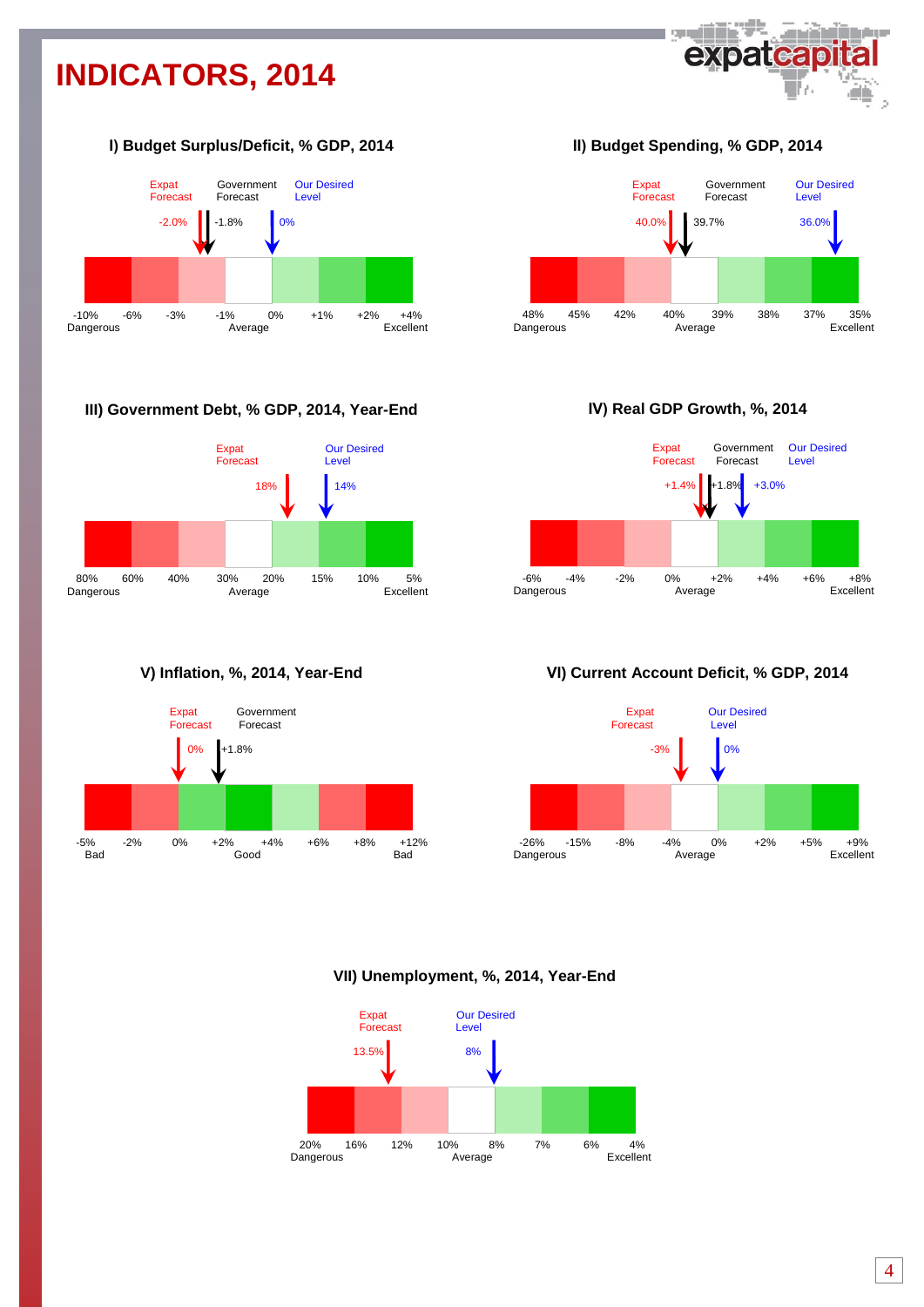# **INDICATORS, 2014**



### **І) Budget Surplus/Deficit, % GDP, 2014**



#### **III) Government Debt, % GDP, 2014, Year-End**



**V) Inflation, %, 2014, Year-End**



**ІІ) Budget Spending, % GDP, 2014**



**ІV) Real GDP Growth, %, 2014**



### **VІ) Current Account Deficit, % GDP, 2014**



#### **VII) Unemployment, %, 2014, Year-End**

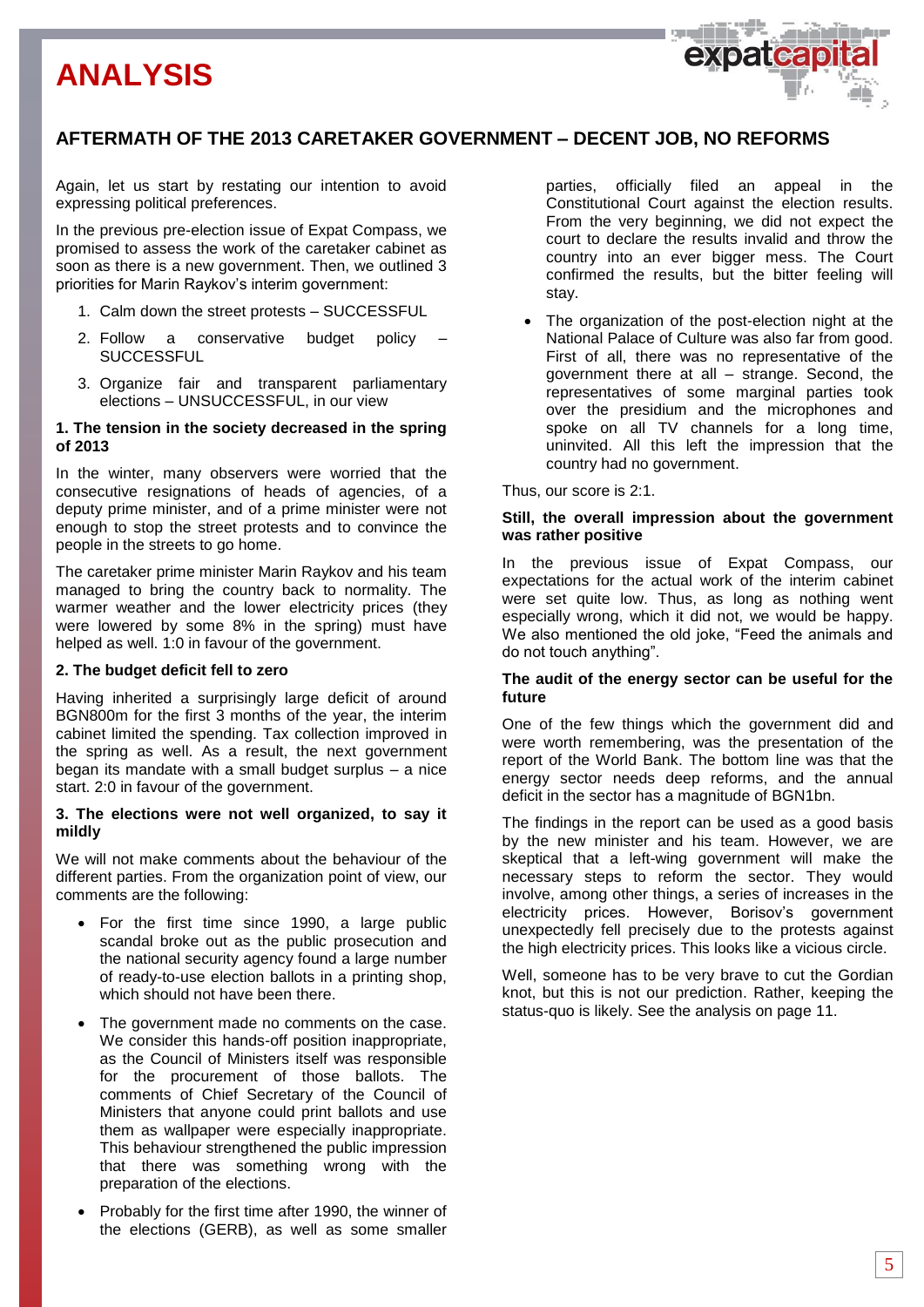

## **AFTERMATH OF THE 2013 CARETAKER GOVERNMENT – DECENT JOB, NO REFORMS**

Again, let us start by restating our intention to avoid expressing political preferences.

In the previous pre-election issue of Expat Compass, we promised to assess the work of the caretaker cabinet as soon as there is a new government. Then, we outlined 3 priorities for Marin Raykov's interim government:

- 1. Calm down the street protests SUCCESSFUL
- 2. Follow a conservative budget policy **SUCCESSFUL**
- 3. Organize fair and transparent parliamentary elections – UNSUCCESSFUL, in our view

#### **1. The tension in the society decreased in the spring of 2013**

In the winter, many observers were worried that the consecutive resignations of heads of agencies, of a deputy prime minister, and of a prime minister were not enough to stop the street protests and to convince the people in the streets to go home.

The caretaker prime minister Marin Raykov and his team managed to bring the country back to normality. The warmer weather and the lower electricity prices (they were lowered by some 8% in the spring) must have helped as well. 1:0 in favour of the government.

#### **2. The budget deficit fell to zero**

Having inherited a surprisingly large deficit of around BGN800m for the first 3 months of the year, the interim cabinet limited the spending. Tax collection improved in the spring as well. As a result, the next government began its mandate with a small budget surplus – a nice start. 2:0 in favour of the government.

#### **3. The elections were not well organized, to say it mildly**

We will not make comments about the behaviour of the different parties. From the organization point of view, our comments are the following:

- For the first time since 1990, a large public scandal broke out as the public prosecution and the national security agency found a large number of ready-to-use election ballots in a printing shop, which should not have been there.
- The government made no comments on the case. We consider this hands-off position inappropriate, as the Council of Ministers itself was responsible for the procurement of those ballots. The comments of Chief Secretary of the Council of Ministers that anyone could print ballots and use them as wallpaper were especially inappropriate. This behaviour strengthened the public impression that there was something wrong with the preparation of the elections.
- Probably for the first time after 1990, the winner of the elections (GERB), as well as some smaller

parties, officially filed an appeal in the Constitutional Court against the election results. From the very beginning, we did not expect the court to declare the results invalid and throw the country into an ever bigger mess. The Court confirmed the results, but the bitter feeling will stay.

 The organization of the post-election night at the National Palace of Culture was also far from good. First of all, there was no representative of the government there at all – strange. Second, the representatives of some marginal parties took over the presidium and the microphones and spoke on all TV channels for a long time, uninvited. All this left the impression that the country had no government.

Thus, our score is 2:1.

#### **Still, the overall impression about the government was rather positive**

In the previous issue of Expat Compass, our expectations for the actual work of the interim cabinet were set quite low. Thus, as long as nothing went especially wrong, which it did not, we would be happy. We also mentioned the old joke, "Feed the animals and do not touch anything".

#### **The audit of the energy sector can be useful for the future**

One of the few things which the government did and were worth remembering, was the presentation of the report of the World Bank. The bottom line was that the energy sector needs deep reforms, and the annual deficit in the sector has a magnitude of BGN1bn.

The findings in the report can be used as a good basis by the new minister and his team. However, we are skeptical that a left-wing government will make the necessary steps to reform the sector. They would involve, among other things, a series of increases in the electricity prices. However, Borisov's government unexpectedly fell precisely due to the protests against the high electricity prices. This looks like a vicious circle.

Well, someone has to be very brave to cut the Gordian knot, but this is not our prediction. Rather, keeping the status-quo is likely. See the analysis on page 11.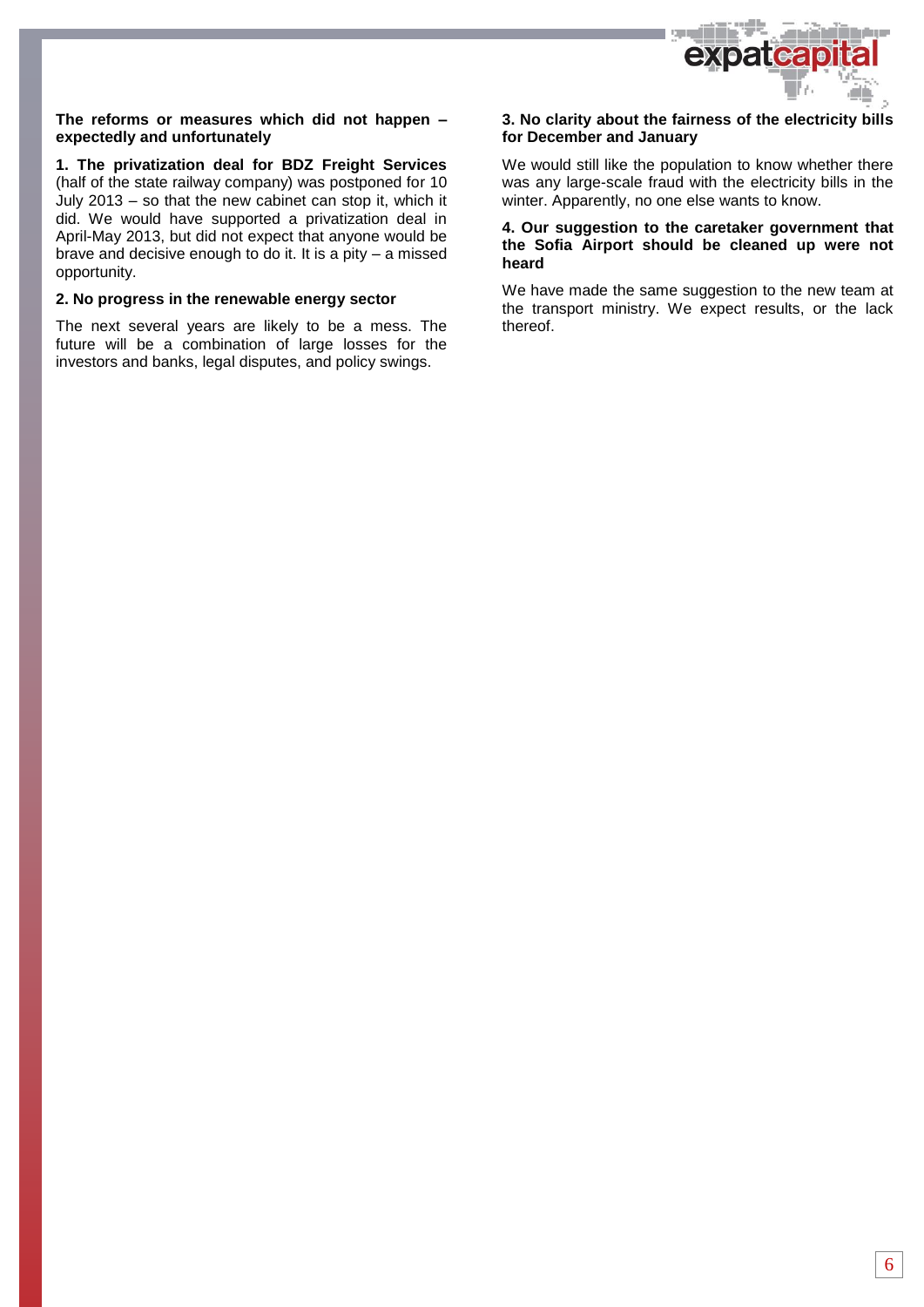

#### **The reforms or measures which did not happen – expectedly and unfortunately**

**1. The privatization deal for BDZ Freight Services** (half of the state railway company) was postponed for 10 July 2013 – so that the new cabinet can stop it, which it did. We would have supported a privatization deal in April-May 2013, but did not expect that anyone would be brave and decisive enough to do it. It is a pity – a missed opportunity.

#### **2. No progress in the renewable energy sector**

The next several years are likely to be a mess. The future will be a combination of large losses for the investors and banks, legal disputes, and policy swings.

#### **3. No clarity about the fairness of the electricity bills for December and January**

We would still like the population to know whether there was any large-scale fraud with the electricity bills in the winter. Apparently, no one else wants to know.

#### **4. Our suggestion to the caretaker government that the Sofia Airport should be cleaned up were not heard**

We have made the same suggestion to the new team at the transport ministry. We expect results, or the lack thereof.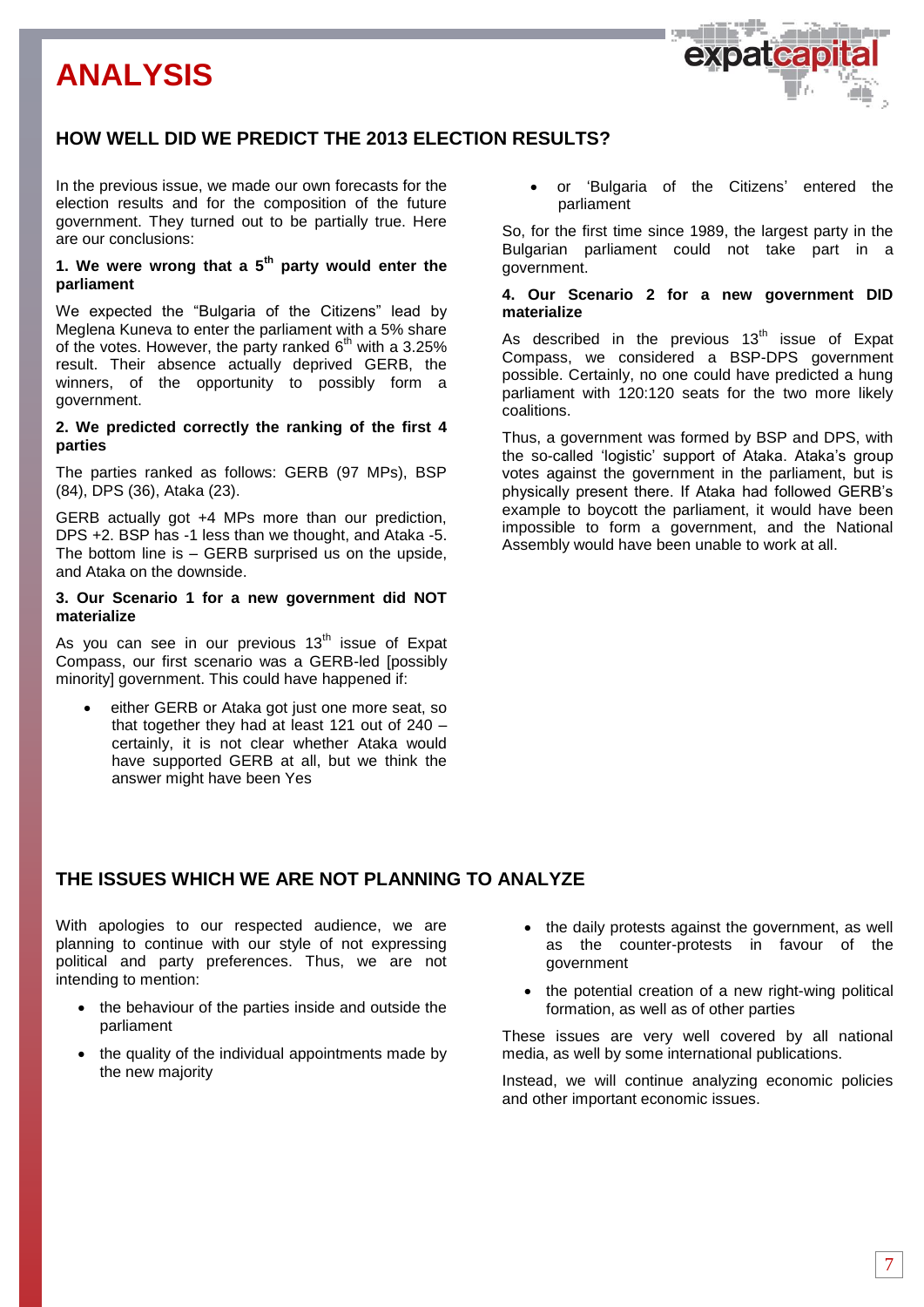

# **HOW WELL DID WE PREDICT THE 2013 ELECTION RESULTS?**

In the previous issue, we made our own forecasts for the election results and for the composition of the future government. They turned out to be partially true. Here are our conclusions:

#### **1. We were wrong that a 5th party would enter the parliament**

We expected the "Bulgaria of the Citizens" lead by Meglena Kuneva to enter the parliament with a 5% share of the votes. However, the party ranked  $6<sup>th</sup>$  with a 3.25% result. Their absence actually deprived GERB, the winners, of the opportunity to possibly form a government.

#### **2. We predicted correctly the ranking of the first 4 parties**

The parties ranked as follows: GERB (97 MPs), BSP (84), DPS (36), Ataka (23).

GERB actually got +4 MPs more than our prediction, DPS +2. BSP has -1 less than we thought, and Ataka -5. The bottom line is – GERB surprised us on the upside, and Ataka on the downside.

#### **3. Our Scenario 1 for a new government did NOT materialize**

As you can see in our previous  $13<sup>th</sup>$  issue of Expat Compass, our first scenario was a GERB-led [possibly minority] government. This could have happened if:

 either GERB or Ataka got just one more seat, so that together they had at least 121 out of 240 – certainly, it is not clear whether Ataka would have supported GERB at all, but we think the answer might have been Yes

 or 'Bulgaria of the Citizens' entered the parliament

So, for the first time since 1989, the largest party in the Bulgarian parliament could not take part in a government.

#### **4. Our Scenario 2 for a new government DID materialize**

As described in the previous  $13<sup>th</sup>$  issue of Expat Compass, we considered a BSP-DPS government possible. Certainly, no one could have predicted a hung parliament with 120:120 seats for the two more likely coalitions.

Thus, a government was formed by BSP and DPS, with the so-called 'logistic' support of Ataka. Ataka's group votes against the government in the parliament, but is physically present there. If Ataka had followed GERB's example to boycott the parliament, it would have been impossible to form a government, and the National Assembly would have been unable to work at all.

# **THE ISSUES WHICH WE ARE NOT PLANNING TO ANALYZE**

With apologies to our respected audience, we are planning to continue with our style of not expressing political and party preferences. Thus, we are not intending to mention:

- the behaviour of the parties inside and outside the parliament
- the quality of the individual appointments made by the new majority
- the daily protests against the government, as well as the counter-protests in favour of the government
- the potential creation of a new right-wing political formation, as well as of other parties

These issues are very well covered by all national media, as well by some international publications.

Instead, we will continue analyzing economic policies and other important economic issues.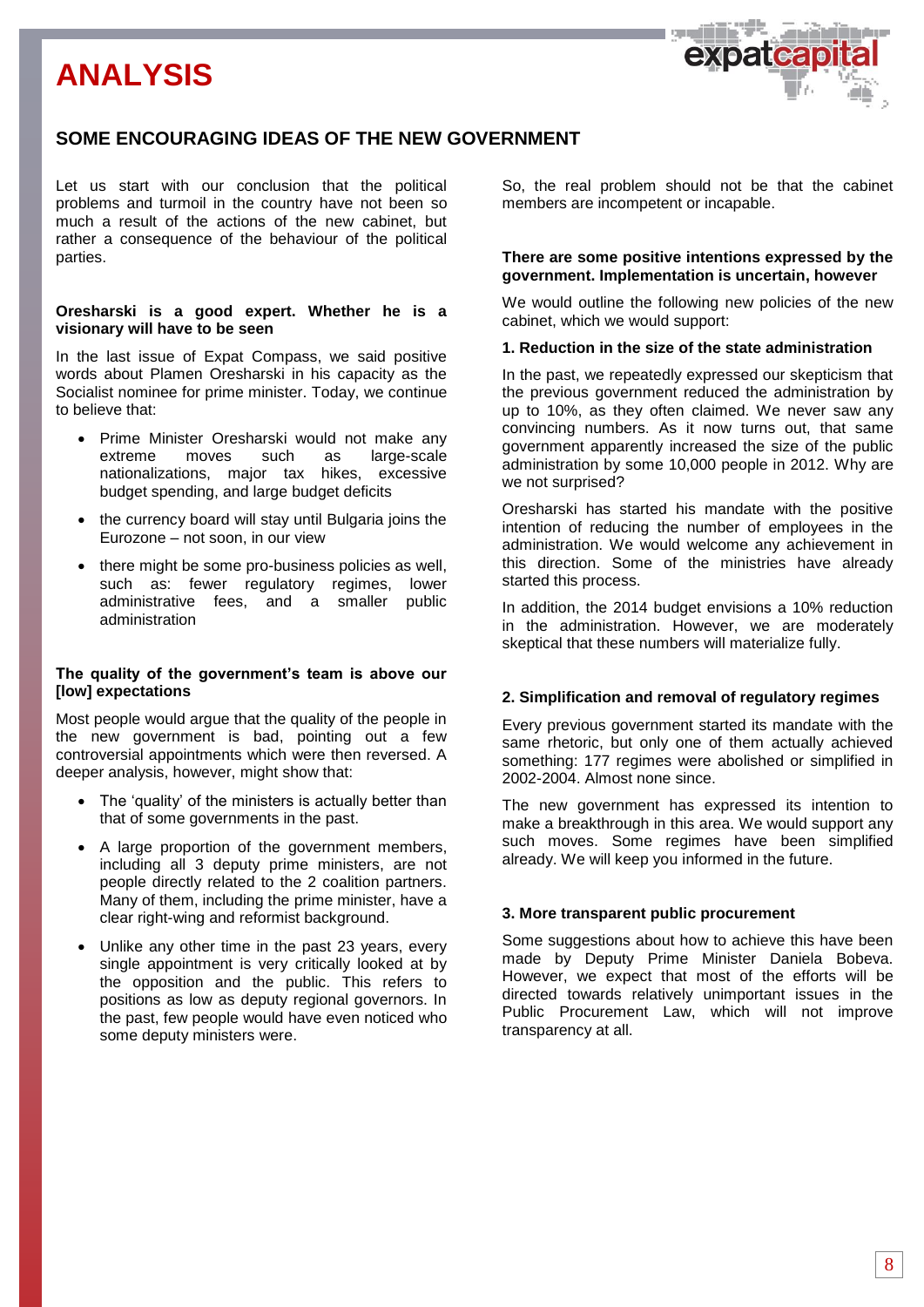

## **SOME ENCOURAGING IDEAS OF THE NEW GOVERNMENT**

Let us start with our conclusion that the political problems and turmoil in the country have not been so much a result of the actions of the new cabinet, but rather a consequence of the behaviour of the political parties.

#### **Oresharski is a good expert. Whether he is a visionary will have to be seen**

In the last issue of Expat Compass, we said positive words about Plamen Oresharski in his capacity as the Socialist nominee for prime minister. Today, we continue to believe that:

- Prime Minister Oresharski would not make any extreme moves such as large-scale nationalizations, major tax hikes, excessive budget spending, and large budget deficits
- the currency board will stay until Bulgaria joins the Eurozone – not soon, in our view
- there might be some pro-business policies as well, such as: fewer regulatory regimes, lower administrative fees, and a smaller public administration

#### **The quality of the government's team is above our [low] expectations**

Most people would argue that the quality of the people in the new government is bad, pointing out a few controversial appointments which were then reversed. A deeper analysis, however, might show that:

- The 'quality' of the ministers is actually better than that of some governments in the past.
- A large proportion of the government members, including all 3 deputy prime ministers, are not people directly related to the 2 coalition partners. Many of them, including the prime minister, have a clear right-wing and reformist background.
- Unlike any other time in the past 23 years, every single appointment is very critically looked at by the opposition and the public. This refers to positions as low as deputy regional governors. In the past, few people would have even noticed who some deputy ministers were.

So, the real problem should not be that the cabinet members are incompetent or incapable.

#### **There are some positive intentions expressed by the government. Implementation is uncertain, however**

We would outline the following new policies of the new cabinet, which we would support:

#### **1. Reduction in the size of the state administration**

In the past, we repeatedly expressed our skepticism that the previous government reduced the administration by up to 10%, as they often claimed. We never saw any convincing numbers. As it now turns out, that same government apparently increased the size of the public administration by some 10,000 people in 2012. [Why a](http://en.wikipedia.org/wiki/D%C3%A9j%C3%A0_vu)re we not surprised?

Oresharski has started his mandate with the positive intention of reducing the number of employees in the administration. We would welcome any achievement in this direction. Some of the ministries have already started this process.

In addition, the 2014 budget envisions a 10% reduction in the administration. However, we are moderately skeptical that these numbers will materialize fully.

#### **2. Simplification and removal of regulatory regimes**

Every previous government started its mandate with the same rhetoric, but only one of them actually achieved something: 177 regimes were abolished or simplified in 2002-2004. Almost none since.

The new government has expressed its intention to make a breakthrough in this area. We would support any such moves. Some regimes have been simplified already. We will keep you informed in the future.

#### **3. More transparent public procurement**

Some suggestions about how to achieve this have been made by Deputy Prime Minister Daniela Bobeva. However, we expect that most of the efforts will be directed towards relatively unimportant issues in the Public Procurement Law, which will not improve transparency at all.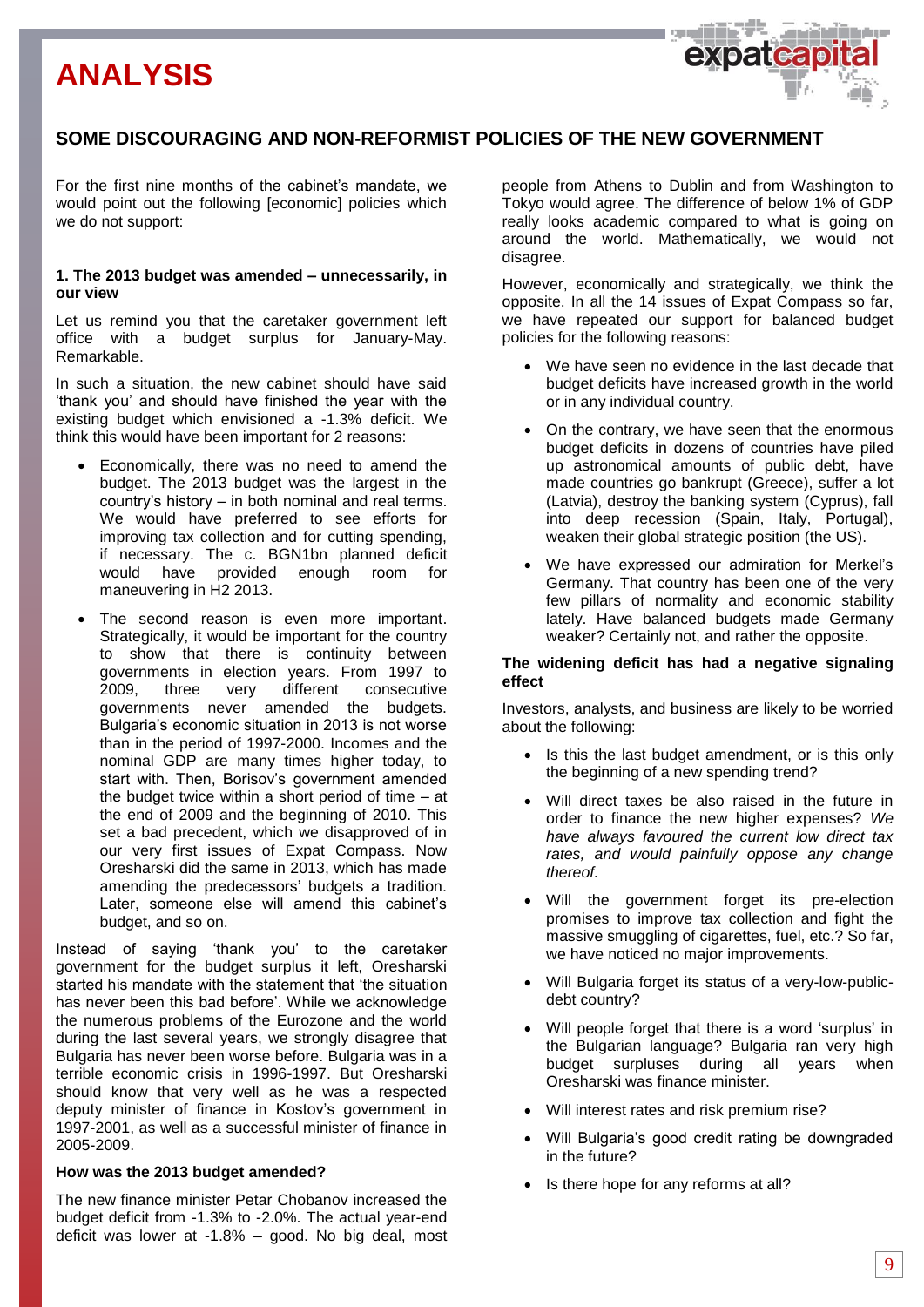### **SOME DISCOURAGING AND NON-REFORMIST POLICIES OF THE NEW GOVERNMENT**

For the first nine months of the cabinet's mandate, we would point out the following [economic] policies which we do not support:

#### **1. The 2013 budget was amended – unnecessarily, in our view**

Let us remind you that the caretaker government left office with a budget surplus for January-May. Remarkable.

In such a situation, the new cabinet should have said 'thank you' and should have finished the year with the existing budget which envisioned a -1.3% deficit. We think this would have been important for 2 reasons:

- Economically, there was no need to amend the budget. The 2013 budget was the largest in the country's history – in both nominal and real terms. We would have preferred to see efforts for improving tax collection and for cutting spending, if necessary. The c. BGN1bn planned deficit would have provided enough room for maneuvering in H2 2013.
- The second reason is even more important. Strategically, it would be important for the country to show that there is continuity between governments in election years. From 1997 to 2009, three very different consecutive governments never amended the budgets. Bulgaria's economic situation in 2013 is not worse than in the period of 1997-2000. Incomes and the nominal GDP are many times higher today, to start with. Then, Borisov's government amended the budget twice within a short period of time – at the end of 2009 and the beginning of 2010. This set a bad precedent, which we disapproved of in our very first issues of Expat Compass. Now Oresharski did the same in 2013, which has made amending the predecessors' budgets a tradition. Later, someone else will amend this cabinet's budget, and so on.

Instead of saying 'thank you' to the caretaker government for the budget surplus it left, Oresharski started his mandate with the statement that 'the situation has never been this bad before'. While we acknowledge the numerous problems of the Eurozone and the world during the last several years, we strongly disagree that Bulgaria has never been worse before. Bulgaria was in a terrible economic crisis in 1996-1997. But Oresharski should know that very well as he was a respected deputy minister of finance in Kostov's government in 1997-2001, as well as a successful minister of finance in 2005-2009.

#### **How was the 2013 budget amended?**

The new finance minister Petar Chobanov increased the budget deficit from -1.3% to -2.0%. The actual year-end deficit was lower at -1.8% – good. No big deal, most people from Athens to Dublin and from Washington to Tokyo would agree. The difference of below 1% of GDP really looks academic compared to what is going on around the world. Mathematically, we would not disagree.

expateap

However, economically and strategically, we think the opposite. In all the 14 issues of Expat Compass so far, we have repeated our support for balanced budget policies for the following reasons:

- We have seen no evidence in the last decade that budget deficits have increased growth in the world or in any individual country.
- On the contrary, we have seen that the enormous budget deficits in dozens of countries have piled up astronomical amounts of public debt, have made countries go bankrupt (Greece), suffer a lot (Latvia), destroy the banking system (Cyprus), fall into deep recession (Spain, Italy, Portugal), weaken their global strategic position (the US).
- We have expressed our admiration for Merkel's Germany. That country has been one of the very few pillars of normality and economic stability lately. Have balanced budgets made Germany weaker? Certainly not, and rather the opposite.

#### **The widening deficit has had a negative signaling effect**

Investors, analysts, and business are likely to be worried about the following:

- Is this the last budget amendment, or is this only the beginning of a new spending trend?
- Will direct taxes be also raised in the future in order to finance the new higher expenses? *We have always favoured the current low direct tax rates, and would painfully oppose any change thereof.*
- Will the government forget its pre-election promises to improve tax collection and fight the massive smuggling of cigarettes, fuel, etc.? So far, we have noticed no major improvements.
- Will Bulgaria forget its status of a very-low-publicdebt country?
- Will people forget that there is a word 'surplus' in the Bulgarian language? Bulgaria ran very high budget surpluses during all years when Oresharski was finance minister.
- Will interest rates and risk premium rise?
- Will Bulgaria's good credit rating be downgraded in the future?
- Is there hope for any reforms at all?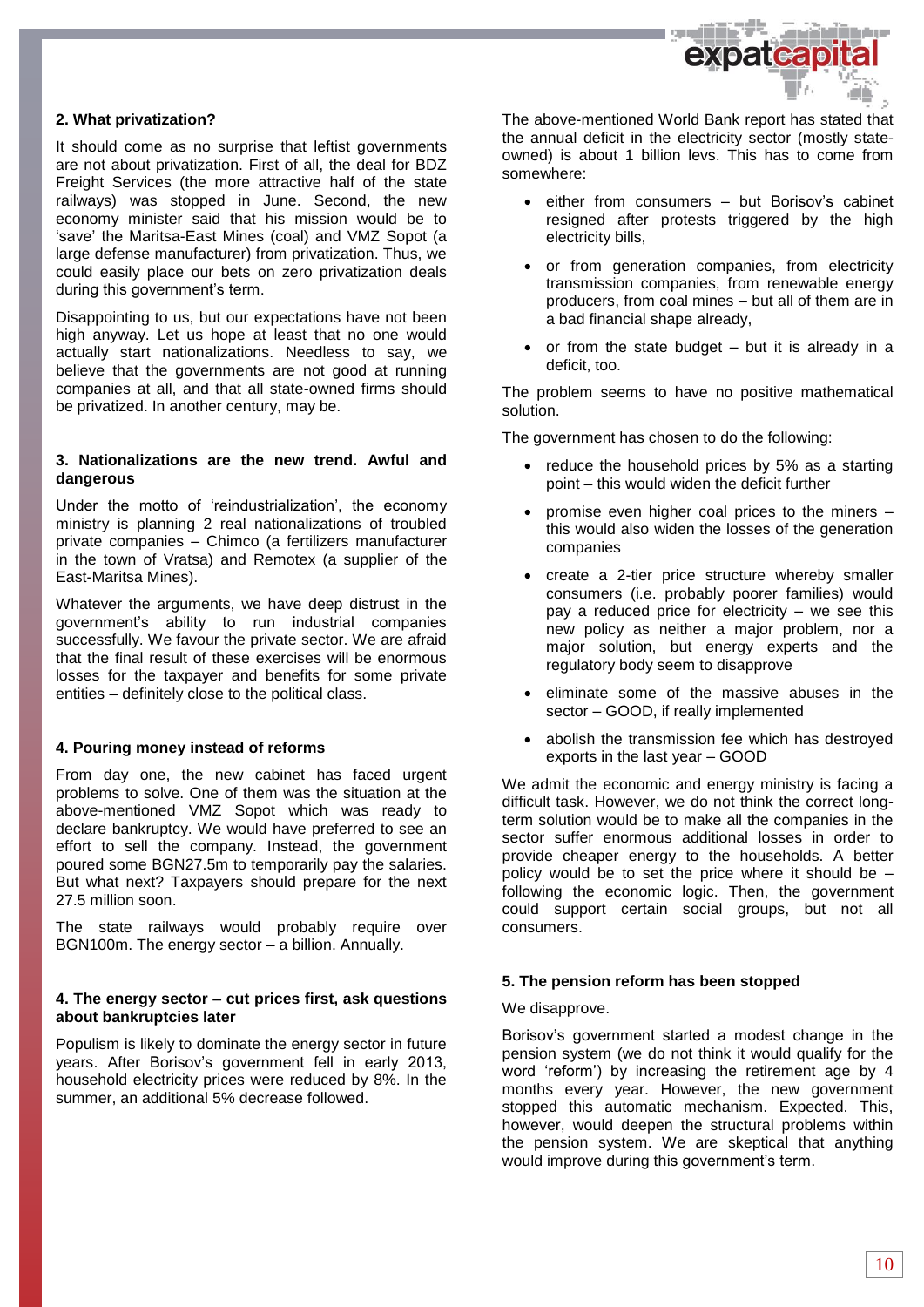

#### **2. What privatization?**

It should come as no surprise that leftist governments are not about privatization. First of all, the deal for BDZ Freight Services (the more attractive half of the state railways) was stopped in June. Second, the new economy minister said that his mission would be to 'save' the Maritsa-East Mines (coal) and VMZ Sopot (a large defense manufacturer) from privatization. Thus, we could easily place our bets on zero privatization deals during this government's term.

Disappointing to us, but our expectations have not been high anyway. Let us hope at least that no one would actually start nationalizations. Needless to say, we believe that the governments are not good at running companies at all, and that all state-owned firms should be privatized. In another century, may be.

#### **3. Nationalizations are the new trend. Awful and dangerous**

Under the motto of 'reindustrialization', the economy ministry is planning 2 real nationalizations of troubled private companies – Chimco (a fertilizers manufacturer in the town of Vratsa) and Remotex (a supplier of the East-Maritsa Mines).

Whatever the arguments, we have deep distrust in the government's ability to run industrial companies successfully. We favour the private sector. We are afraid that the final result of these exercises will be enormous losses for the taxpayer and benefits for some private entities – definitely close to the political class.

#### **4. Pouring money instead of reforms**

From day one, the new cabinet has faced urgent problems to solve. One of them was the situation at the above-mentioned VMZ Sopot which was ready to declare bankruptcy. We would have preferred to see an effort to sell the company. Instead, the government poured some BGN27.5m to temporarily pay the salaries. But what next? Taxpayers should prepare for the next 27.5 million soon.

The state railways would probably require over BGN100m. The energy sector – a billion. Annually.

#### **4. The energy sector – cut prices first, ask questions about bankruptcies later**

Populism is likely to dominate the energy sector in future years. After Borisov's government fell in early 2013, household electricity prices were reduced by 8%. In the summer, an additional 5% decrease followed.

The above-mentioned World Bank report has stated that the annual deficit in the electricity sector (mostly stateowned) is about 1 billion levs. This has to come from somewhere:

- either from consumers but Borisov's cabinet resigned after protests triggered by the high electricity bills,
- or from generation companies, from electricity transmission companies, from renewable energy producers, from coal mines – but all of them are in a bad financial shape already,
- or from the state budget but it is already in a deficit, too.

The problem seems to have no positive mathematical solution.

The government has chosen to do the following:

- reduce the household prices by 5% as a starting point – this would widen the deficit further
- promise even higher coal prices to the miners this would also widen the losses of the generation companies
- create a 2-tier price structure whereby smaller consumers (i.e. probably poorer families) would pay a reduced price for electricity – we see this new policy as neither a major problem, nor a major solution, but energy experts and the regulatory body seem to disapprove
- eliminate some of the massive abuses in the sector – GOOD, if really implemented
- abolish the transmission fee which has destroyed exports in the last year – GOOD

We admit the economic and energy ministry is facing a difficult task. However, we do not think the correct longterm solution would be to make all the companies in the sector suffer enormous additional losses in order to provide cheaper energy to the households. A better policy would be to set the price where it should be – following the economic logic. Then, the government could support certain social groups, but not all consumers.

#### **5. The pension reform has been stopped**

#### We disapprove.

Borisov's government started a modest change in the pension system (we do not think it would qualify for the word 'reform') by increasing the retirement age by 4 months every year. However, the new government stopped this automatic mechanism. Expected. This, however, would deepen the structural problems within the pension system. We are skeptical that anything would improve during this government's term.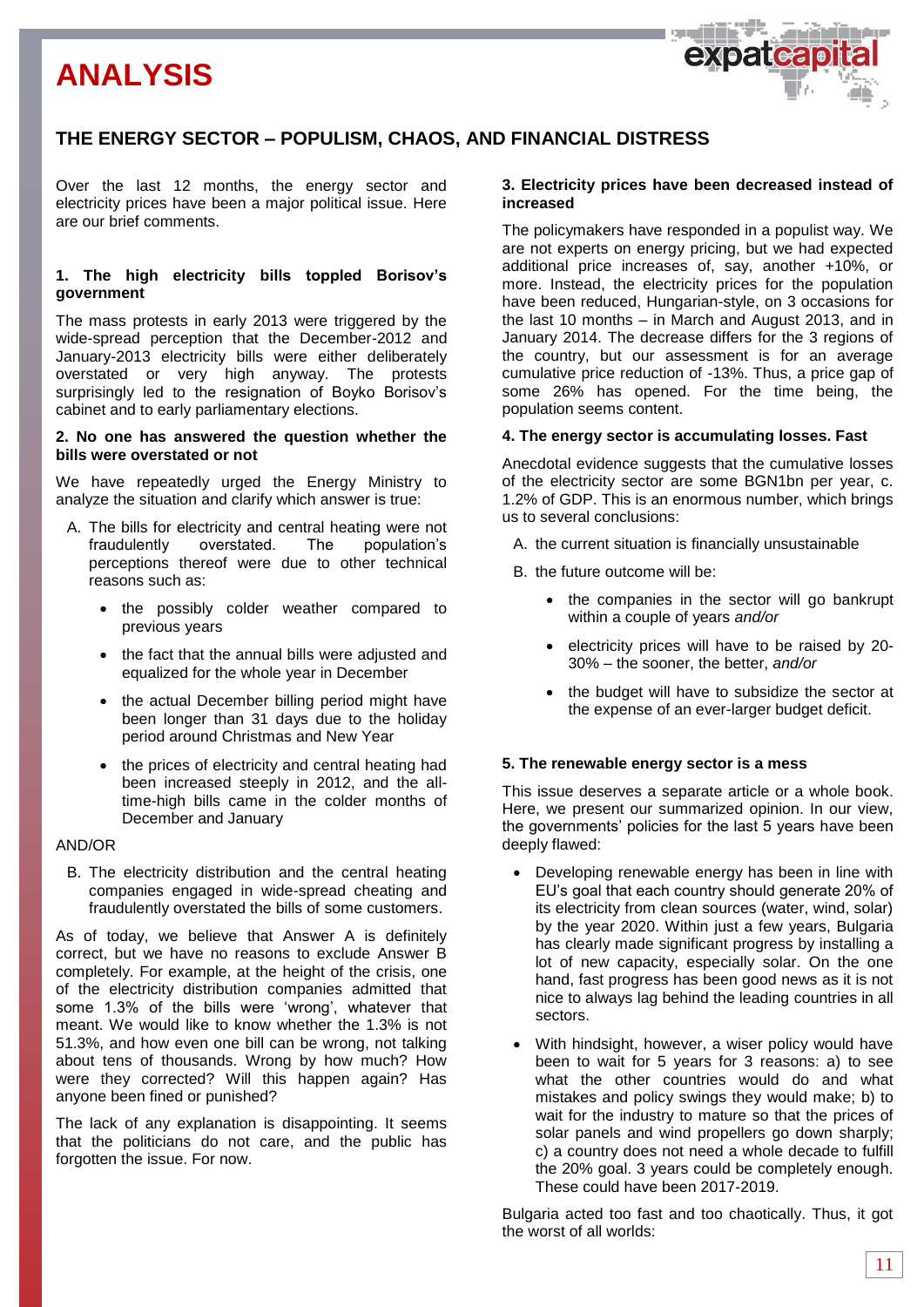

## **THE ENERGY SECTOR – POPULISM, CHAOS, AND FINANCIAL DISTRESS**

Over the last 12 months, the energy sector and electricity prices have been a major political issue. Here are our brief comments.

#### **1. The high electricity bills toppled Borisov's government**

The mass protests in early 2013 were triggered by the wide-spread perception that the December-2012 and January-2013 electricity bills were either deliberately overstated or very high anyway. The protests surprisingly led to the resignation of Boyko Borisov's cabinet and to early parliamentary elections.

#### **2. No one has answered the question whether the bills were overstated or not**

We have repeatedly urged the Energy Ministry to analyze the situation and clarify which answer is true:

- A. The bills for electricity and central heating were not fraudulently overstated. The population's perceptions thereof were due to other technical reasons such as:
	- the possibly colder weather compared to previous years
	- the fact that the annual bills were adjusted and equalized for the whole year in December
	- the actual December billing period might have been longer than 31 days due to the holiday period around Christmas and New Year
	- the prices of electricity and central heating had been increased steeply in 2012, and the alltime-high bills came in the colder months of December and January

#### AND/OR

B. The electricity distribution and the central heating companies engaged in wide-spread cheating and fraudulently overstated the bills of some customers.

As of today, we believe that Answer A is definitely correct, but we have no reasons to exclude Answer B completely. For example, at the height of the crisis, one of the electricity distribution companies admitted that some 1.3% of the bills were 'wrong', whatever that meant. We would like to know whether the 1.3% is not 51.3%, and how even one bill can be wrong, not talking about tens of thousands. Wrong by how much? How were they corrected? Will this happen again? Has anyone been fined or punished?

The lack of any explanation is disappointing. It seems that the politicians do not care, and the public has forgotten the issue. For now.

#### **3. Electricity prices have been decreased instead of increased**

The policymakers have responded in a populist way. We are not experts on energy pricing, but we had expected additional price increases of, say, another +10%, or more. Instead, the electricity prices for the population have been reduced, Hungarian-style, on 3 occasions for the last 10 months – in March and August 2013, and in January 2014. The decrease differs for the 3 regions of the country, but our assessment is for an average cumulative price reduction of -13%. Thus, a price gap of some 26% has opened. For the time being, the population seems content.

#### **4. The energy sector is accumulating losses. Fast**

Anecdotal evidence suggests that the cumulative losses of the electricity sector are some BGN1bn per year, c. 1.2% of GDP. This is an enormous number, which brings us to several conclusions:

- A. the current situation is financially unsustainable
- B. the future outcome will be:
	- the companies in the sector will go bankrupt within a couple of years *and/or*
	- electricity prices will have to be raised by 20- 30% – the sooner, the better, *and/or*
	- the budget will have to subsidize the sector at the expense of an ever-larger budget deficit.

#### **5. The renewable energy sector is a mess**

This issue deserves a separate article or a whole book. Here, we present our summarized opinion. In our view, the governments' policies for the last 5 years have been deeply flawed:

- Developing renewable energy has been in line with EU's goal that each country should generate 20% of its electricity from clean sources (water, wind, solar) by the year 2020. Within just a few years, Bulgaria has clearly made significant progress by installing a lot of new capacity, especially solar. On the one hand, fast progress has been good news as it is not nice to always lag behind the leading countries in all sectors.
- With hindsight, however, a wiser policy would have been to wait for 5 years for 3 reasons: a) to see what the other countries would do and what mistakes and policy swings they would make; b) to wait for the industry to mature so that the prices of solar panels and wind propellers go down sharply; c) a country does not need a whole decade to fulfill the 20% goal. 3 years could be completely enough. These could have been 2017-2019.

Bulgaria acted too fast and too chaotically. Thus, it got the worst of all worlds: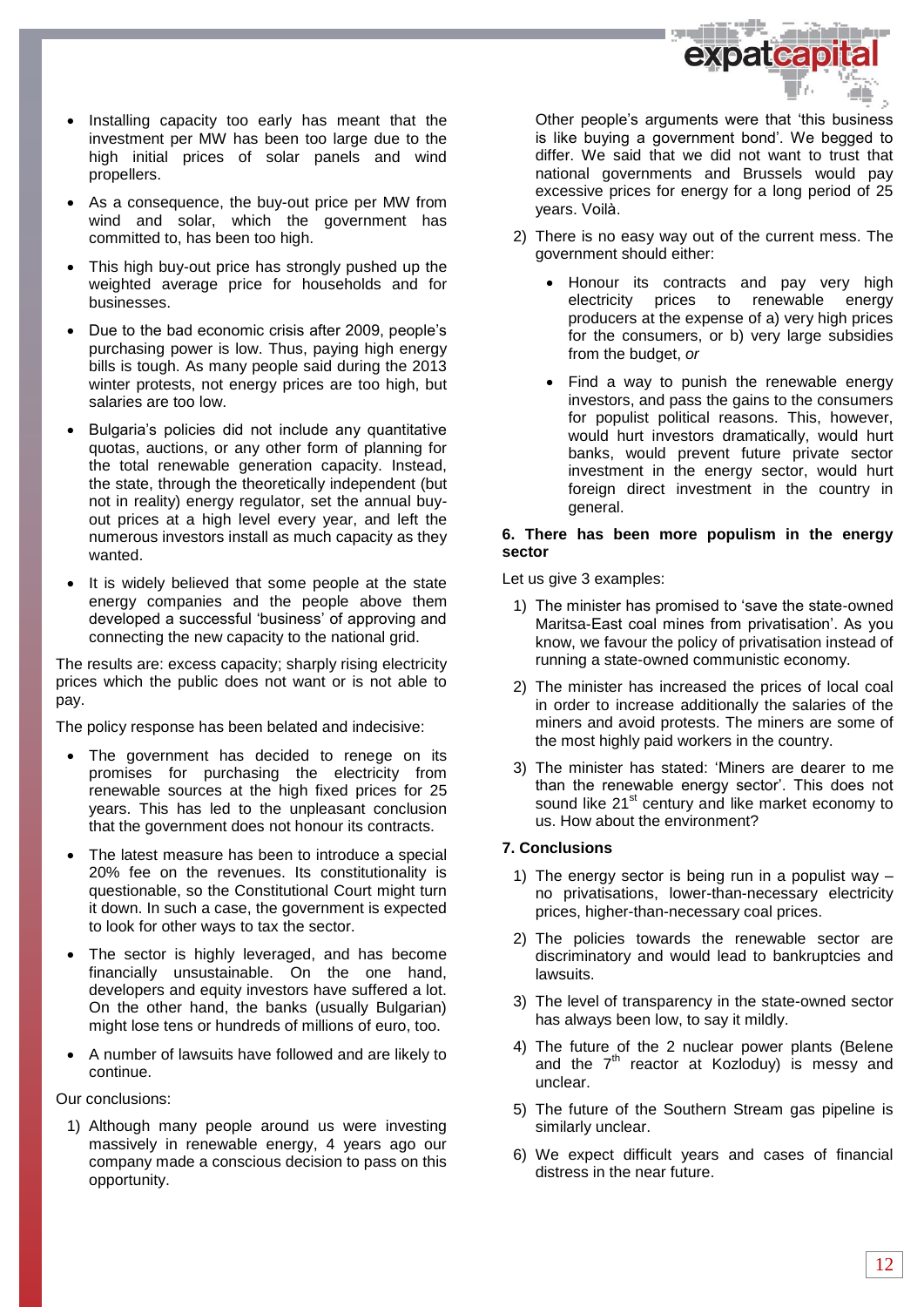

- Installing capacity too early has meant that the investment per MW has been too large due to the high initial prices of solar panels and wind propellers.
- As a consequence, the buy-out price per MW from wind and solar, which the government has committed to, has been too high.
- This high buy-out price has strongly pushed up the weighted average price for households and for businesses.
- Due to the bad economic crisis after 2009, people's purchasing power is low. Thus, paying high energy bills is tough. As many people said during the 2013 winter protests, not energy prices are too high, but salaries are too low.
- Bulgaria's policies did not include any quantitative quotas, auctions, or any other form of planning for the total renewable generation capacity. Instead, the state, through the theoretically independent (but not in reality) energy regulator, set the annual buyout prices at a high level every year, and left the numerous investors install as much capacity as they wanted.
- It is widely believed that some people at the state energy companies and the people above them developed a successful 'business' of approving and connecting the new capacity to the national grid.

The results are: excess capacity; sharply rising electricity prices which the public does not want or is not able to pay.

The policy response has been belated and indecisive:

- The government has decided to renege on its promises for purchasing the electricity from renewable sources at the high fixed prices for 25 years. This has led to the unpleasant conclusion that the government does not honour its contracts.
- The latest measure has been to introduce a special 20% fee on the revenues. Its constitutionality is questionable, so the Constitutional Court might turn it down. In such a case, the government is expected to look for other ways to tax the sector.
- The sector is highly leveraged, and has become financially unsustainable. On the one hand, developers and equity investors have suffered a lot. On the other hand, the banks (usually Bulgarian) might lose tens or hundreds of millions of euro, too.
- A number of lawsuits have followed and are likely to continue.

Our conclusions:

1) Although many people around us were investing massively in renewable energy, 4 years ago our company made a conscious decision to pass on this opportunity.

Other people's arguments were that 'this business is like buying a government bond'. We begged to differ. We said that we did not want to trust that national governments and Brussels would pay excessive prices for energy for a long period of 25 years. Voilà.

- 2) There is no easy way out of the current mess. The government should either:
	- Honour its contracts and pay very high electricity prices to renewable energy producers at the expense of a) very high prices for the consumers, or b) very large subsidies from the budget, *or*
	- Find a way to punish the renewable energy investors, and pass the gains to the consumers for populist political reasons. This, however, would hurt investors dramatically, would hurt banks, would prevent future private sector investment in the energy sector, would hurt foreign direct investment in the country in general.

#### **6. There has been more populism in the energy sector**

Let us give 3 examples:

- 1) The minister has promised to 'save the state-owned Maritsa-East coal mines from privatisation'. As you know, we favour the policy of privatisation instead of running a state-owned communistic economy.
- 2) The minister has increased the prices of local coal in order to increase additionally the salaries of the miners and avoid protests. The miners are some of the most highly paid workers in the country.
- 3) The minister has stated: 'Miners are dearer to me than the renewable energy sector'. This does not sound like 21<sup>st</sup> century and like market economy to us. How about the environment?

#### **7. Conclusions**

- 1) The energy sector is being run in a populist way  $$ no privatisations, lower-than-necessary electricity prices, higher-than-necessary coal prices.
- 2) The policies towards the renewable sector are discriminatory and would lead to bankruptcies and lawsuits.
- 3) The level of transparency in the state-owned sector has always been low, to say it mildly.
- 4) The future of the 2 nuclear power plants (Belene and the  $7<sup>th</sup>$  reactor at Kozloduy) is messy and unclear.
- 5) The future of the Southern Stream gas pipeline is similarly unclear.
- 6) We expect difficult years and cases of financial distress in the near future.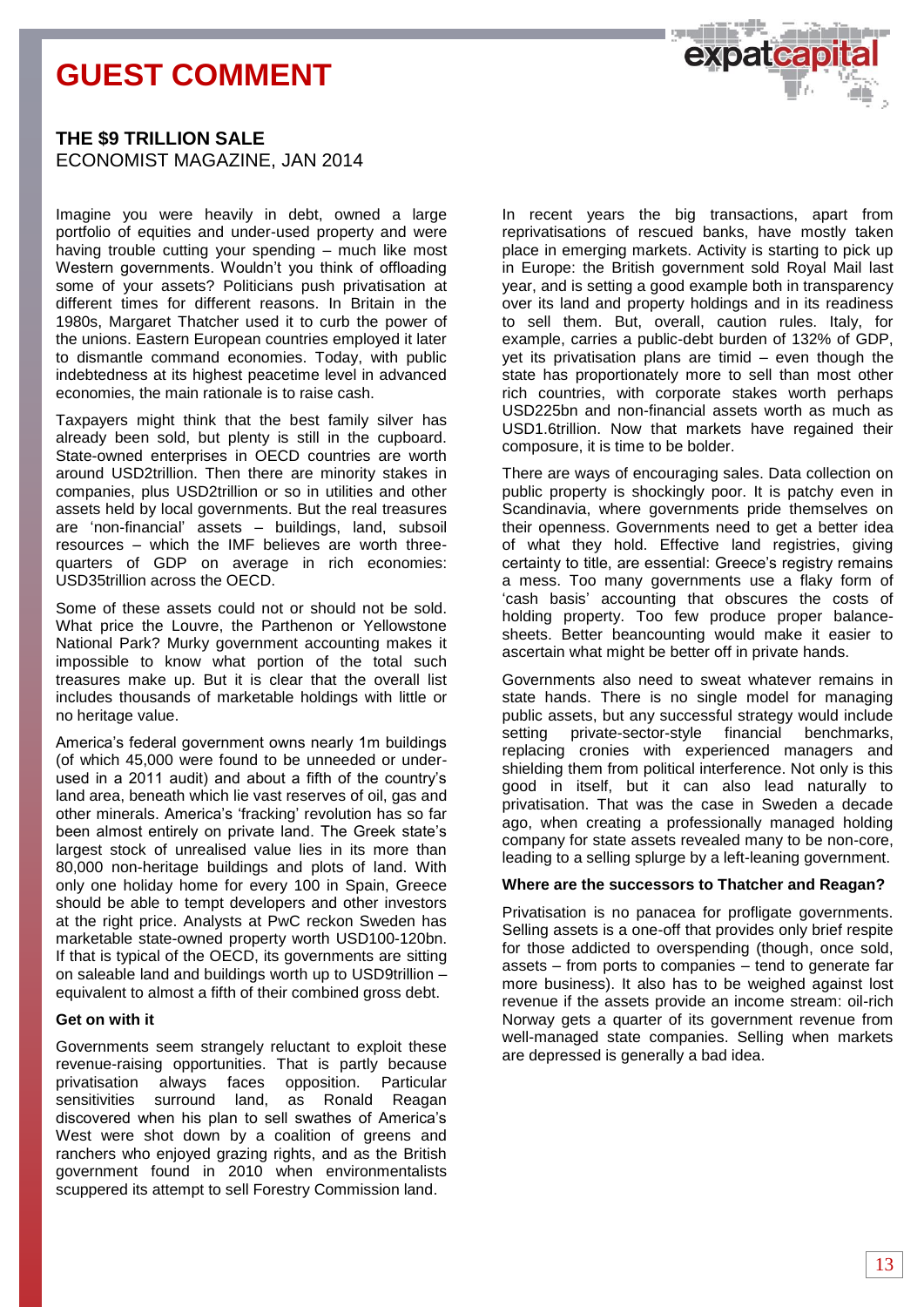

### **THE \$9 TRILLION SALE** ECONOMIST MAGAZINE, JAN 2014

Imagine you were heavily in debt, owned a large portfolio of equities and under-used property and were having trouble cutting your spending – much like most Western governments. Wouldn't you think of offloading some of your assets? Politicians push privatisation at different times for different reasons. In Britain in the 1980s, Margaret Thatcher used it to curb the power of the unions. Eastern European countries employed it later to dismantle command economies. Today, with public indebtedness at its highest peacetime level in advanced economies, the main rationale is to raise cash.

Taxpayers might think that the best family silver has already been sold, but plenty is still in the cupboard. State-owned enterprises in OECD countries are worth around USD2trillion. Then there are minority stakes in companies, plus USD2trillion or so in utilities and other assets held by local governments. But the real treasures are 'non-financial' assets – buildings, land, subsoil resources – which the IMF believes are worth threequarters of GDP on average in rich economies: USD35trillion across the OECD.

Some of these assets could not or should not be sold. What price the Louvre, the Parthenon or Yellowstone National Park? Murky government accounting makes it impossible to know what portion of the total such treasures make up. But it is clear that the overall list includes thousands of marketable holdings with little or no heritage value.

America's federal government owns nearly 1m buildings (of which 45,000 were found to be unneeded or underused in a 2011 audit) and about a fifth of the country's land area, beneath which lie vast reserves of oil, gas and other minerals. America's 'fracking' revolution has so far been almost entirely on private land. The Greek state's largest stock of unrealised value lies in its more than 80,000 non-heritage buildings and plots of land. With only one holiday home for every 100 in Spain, Greece should be able to tempt developers and other investors at the right price. Analysts at PwC reckon Sweden has marketable state-owned property worth USD100-120bn. If that is typical of the OECD, its governments are sitting on saleable land and buildings worth up to USD9trillion – equivalent to almost a fifth of their combined gross debt.

#### **Get on with it**

Governments seem strangely reluctant to exploit these revenue-raising opportunities. That is partly because privatisation always faces opposition. Particular sensitivities surround land, as Ronald Reagan discovered when his plan to sell swathes of America's West were shot down by a coalition of greens and ranchers who enjoyed grazing rights, and as the British government found in 2010 when environmentalists scuppered its attempt to sell Forestry Commission land.

In recent years the big transactions, apart from reprivatisations of rescued banks, have mostly taken place in emerging markets. Activity is starting to pick up in Europe: the British government sold Royal Mail last year, and is setting a good example both in transparency over its land and property holdings and in its readiness to sell them. But, overall, caution rules. Italy, for example, carries a public-debt burden of 132% of GDP, yet its privatisation plans are timid – even though the state has proportionately more to sell than most other rich countries, with corporate stakes worth perhaps USD225bn and non-financial assets worth as much as USD1.6trillion. Now that markets have regained their composure, it is time to be bolder.

There are ways of encouraging sales. Data collection on public property is shockingly poor. It is patchy even in Scandinavia, where governments pride themselves on their openness. Governments need to get a better idea of what they hold. Effective land registries, giving certainty to title, are essential: Greece's registry remains a mess. Too many governments use a flaky form of 'cash basis' accounting that obscures the costs of holding property. Too few produce proper balancesheets. Better beancounting would make it easier to ascertain what might be better off in private hands.

Governments also need to sweat whatever remains in state hands. There is no single model for managing public assets, but any successful strategy would include setting private-sector-style financial benchmarks, replacing cronies with experienced managers and shielding them from political interference. Not only is this good in itself, but it can also lead naturally to privatisation. That was the case in Sweden a decade ago, when creating a professionally managed holding company for state assets revealed many to be non-core, leading to a selling splurge by a left-leaning government.

#### **Where are the successors to Thatcher and Reagan?**

Privatisation is no panacea for profligate governments. Selling assets is a one-off that provides only brief respite for those addicted to overspending (though, once sold, assets – from ports to companies – tend to generate far more business). It also has to be weighed against lost revenue if the assets provide an income stream: oil-rich Norway gets a quarter of its government revenue from well-managed state companies. Selling when markets are depressed is generally a bad idea.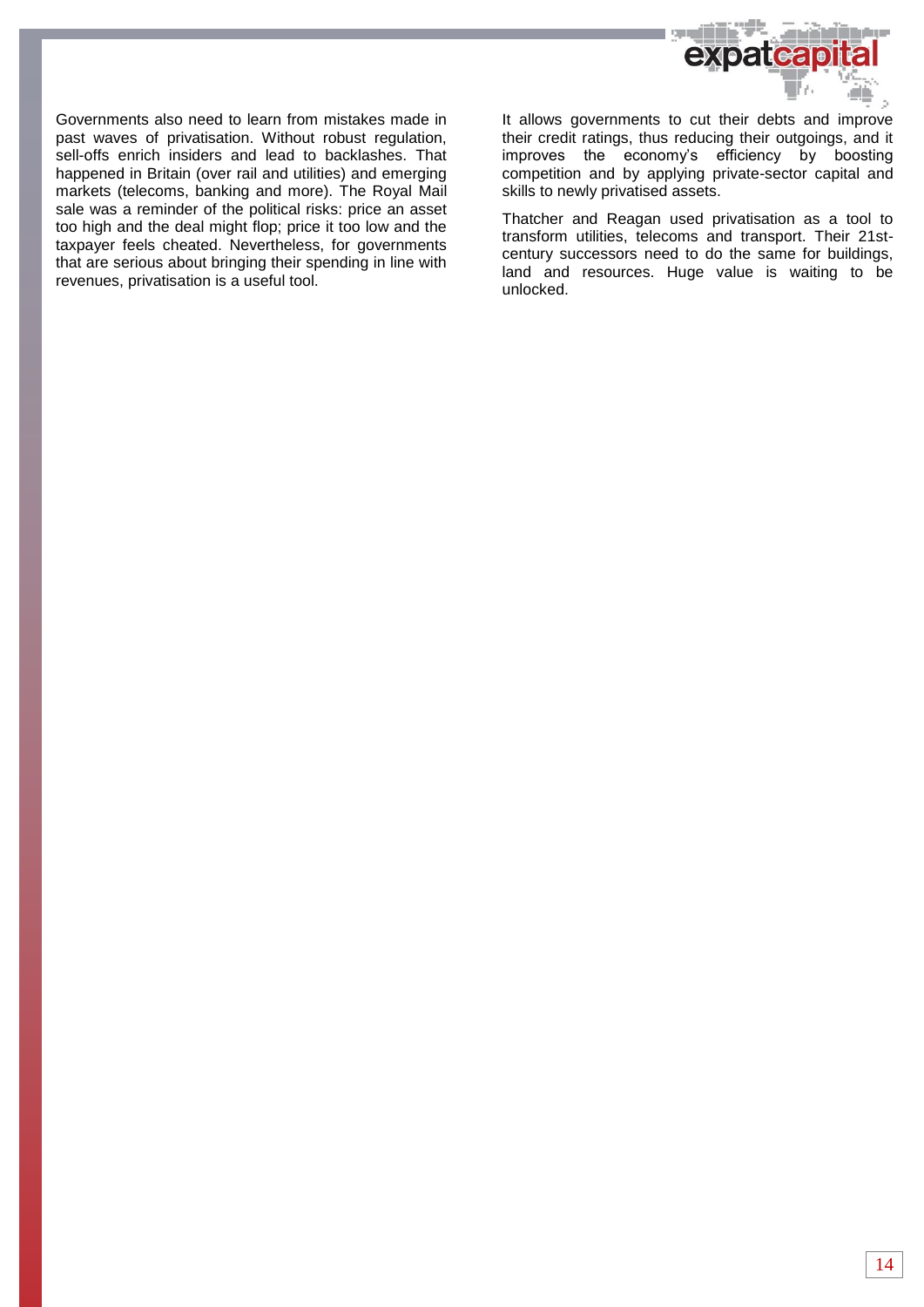

Governments also need to learn from mistakes made in past waves of privatisation. Without robust regulation, sell-offs enrich insiders and lead to backlashes. That happened in Britain (over rail and utilities) and emerging markets (telecoms, banking and more). The Royal Mail sale was a reminder of the political risks: price an asset too high and the deal might flop; price it too low and the taxpayer feels cheated. Nevertheless, for governments that are serious about bringing their spending in line with revenues, privatisation is a useful tool.

It allows governments to cut their debts and improve their credit ratings, thus reducing their outgoings, and it improves the economy's efficiency by boosting competition and by applying private-sector capital and skills to newly privatised assets.

Thatcher and Reagan used privatisation as a tool to transform utilities, telecoms and transport. Their 21stcentury successors need to do the same for buildings, land and resources. Huge value is waiting to be unlocked.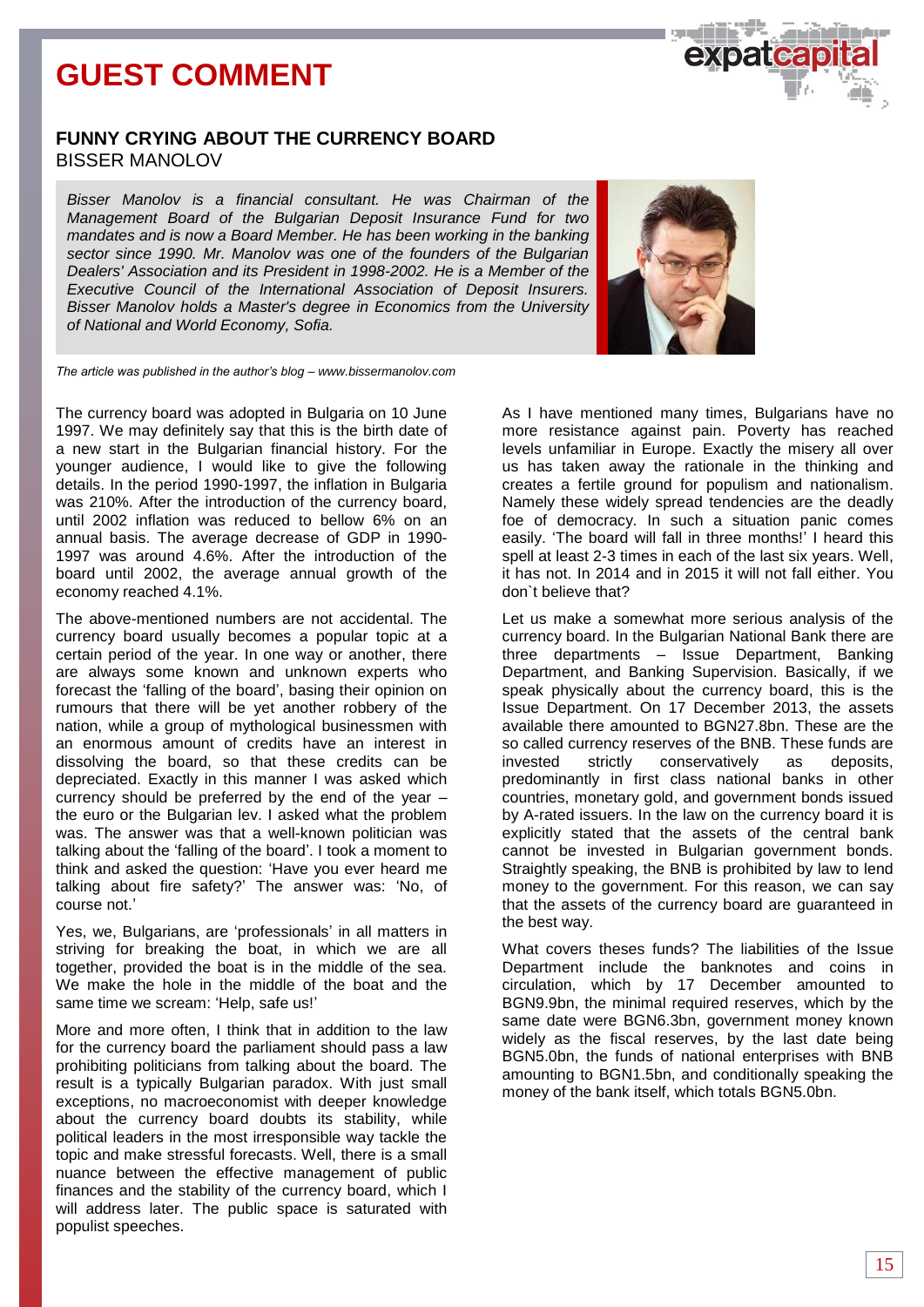

### **FUNNY CRYING ABOUT THE CURRENCY BOARD** BISSER MANOLOV

*Bisser Manolov is a financial consultant. He was Chairman of the Management Board of the Bulgarian Deposit Insurance Fund for two mandates and is now a Board Member. He has been working in the banking sector since 1990. Mr. Manolov was one of the founders of the Bulgarian Dealers' Association and its President in 1998-2002. He is a Member of the Executive Council of the International Association of Deposit Insurers. Bisser Manolov holds a Master's degree in Economics from the University of National and World Economy, Sofia.*

*The article was published in the author's blog – www.bissermanolov.com*

The currency board was adopted in Bulgaria on 10 June 1997. We may definitely say that this is the birth date of a new start in the Bulgarian financial history. For the younger audience, I would like to give the following details. In the period 1990-1997, the inflation in Bulgaria was 210%. After the introduction of the currency board, until 2002 inflation was reduced to bellow 6% on an annual basis. The average decrease of GDP in 1990- 1997 was around 4.6%. After the introduction of the board until 2002, the average annual growth of the economy reached 4.1%.

The above-mentioned numbers are not accidental. The currency board usually becomes a popular topic at a certain period of the year. In one way or another, there are always some known and unknown experts who forecast the 'falling of the board', basing their opinion on rumours that there will be yet another robbery of the nation, while a group of mythological businessmen with an enormous amount of credits have an interest in dissolving the board, so that these credits can be depreciated. Exactly in this manner I was asked which currency should be preferred by the end of the year – the euro or the Bulgarian lev. I asked what the problem was. The answer was that a well-known politician was talking about the 'falling of the board'. I took a moment to think and asked the question: 'Have you ever heard me talking about fire safety?' The answer was: 'No, of course not.'

Yes, we, Bulgarians, are 'professionals' in all matters in striving for breaking the boat, in which we are all together, provided the boat is in the middle of the sea. We make the hole in the middle of the boat and the same time we scream: 'Help, safe us!'

More and more often, I think that in addition to the law for the currency board the parliament should pass a law prohibiting politicians from talking about the board. The result is a typically Bulgarian paradox. With just small exceptions, no macroeconomist with deeper knowledge about the currency board doubts its stability, while political leaders in the most irresponsible way tackle the topic and make stressful forecasts. Well, there is a small nuance between the effective management of public finances and the stability of the currency board, which I will address later. The public space is saturated with populist speeches.



As I have mentioned many times, Bulgarians have no more resistance against pain. Poverty has reached levels unfamiliar in Europe. Exactly the misery all over us has taken away the rationale in the thinking and creates a fertile ground for populism and nationalism. Namely these widely spread tendencies are the deadly foe of democracy. In such a situation panic comes easily. 'The board will fall in three months!' I heard this spell at least 2-3 times in each of the last six years. Well, it has not. In 2014 and in 2015 it will not fall either. You don`t believe that?

Let us make a somewhat more serious analysis of the currency board. In the Bulgarian National Bank there are three departments – Issue Department, Banking Department, and Banking Supervision. Basically, if we speak physically about the currency board, this is the Issue Department. On 17 December 2013, the assets available there amounted to BGN27.8bn. These are the so called currency reserves of the BNB. These funds are invested strictly conservatively as deposits, predominantly in first class national banks in other countries, monetary gold, and government bonds issued by A-rated issuers. In the law on the currency board it is explicitly stated that the assets of the central bank cannot be invested in Bulgarian government bonds. Straightly speaking, the BNB is prohibited by law to lend money to the government. For this reason, we can say that the assets of the currency board are guaranteed in the best way.

What covers theses funds? The liabilities of the Issue Department include the banknotes and coins in circulation, which by 17 December amounted to BGN9.9bn, the minimal required reserves, which by the same date were BGN6.3bn, government money known widely as the fiscal reserves, by the last date being BGN5.0bn, the funds of national enterprises with BNB amounting to BGN1.5bn, and conditionally speaking the money of the bank itself, which totals BGN5.0bn.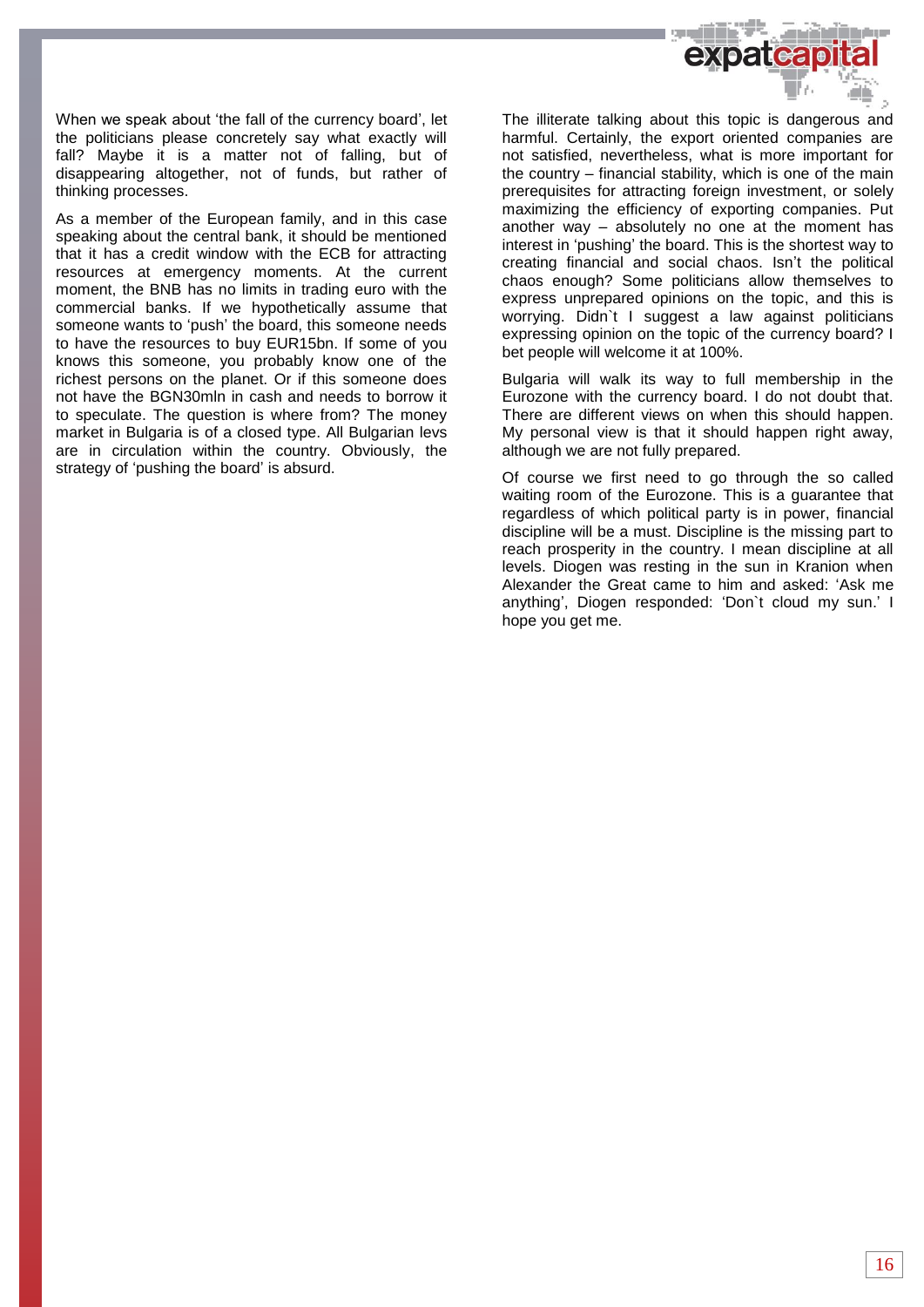

When we speak about 'the fall of the currency board', let the politicians please concretely say what exactly will fall? Maybe it is a matter not of falling, but of disappearing altogether, not of funds, but rather of thinking processes.

As a member of the European family, and in this case speaking about the central bank, it should be mentioned that it has a credit window with the ECB for attracting resources at emergency moments. At the current moment, the BNB has no limits in trading euro with the commercial banks. If we hypothetically assume that someone wants to 'push' the board, this someone needs to have the resources to buy EUR15bn. If some of you knows this someone, you probably know one of the richest persons on the planet. Or if this someone does not have the BGN30mln in cash and needs to borrow it to speculate. The question is where from? The money market in Bulgaria is of a closed type. All Bulgarian levs are in circulation within the country. Obviously, the strategy of 'pushing the board' is absurd.

The illiterate talking about this topic is dangerous and harmful. Certainly, the export oriented companies are not satisfied, nevertheless, what is more important for the country – financial stability, which is one of the main prerequisites for attracting foreign investment, or solely maximizing the efficiency of exporting companies. Put another way – absolutely no one at the moment has interest in 'pushing' the board. This is the shortest way to creating financial and social chaos. Isn't the political chaos enough? Some politicians allow themselves to express unprepared opinions on the topic, and this is worrying. Didn`t I suggest a law against politicians expressing opinion on the topic of the currency board? I bet people will welcome it at 100%.

Bulgaria will walk its way to full membership in the Eurozone with the currency board. I do not doubt that. There are different views on when this should happen. My personal view is that it should happen right away, although we are not fully prepared.

Of course we first need to go through the so called waiting room of the Eurozone. This is a guarantee that regardless of which political party is in power, financial discipline will be a must. Discipline is the missing part to reach prosperity in the country. I mean discipline at all levels. Diogen was resting in the sun in Kranion when Alexander the Great came to him and asked: 'Ask me anything', Diogen responded: 'Don`t cloud my sun.' I hope you get me.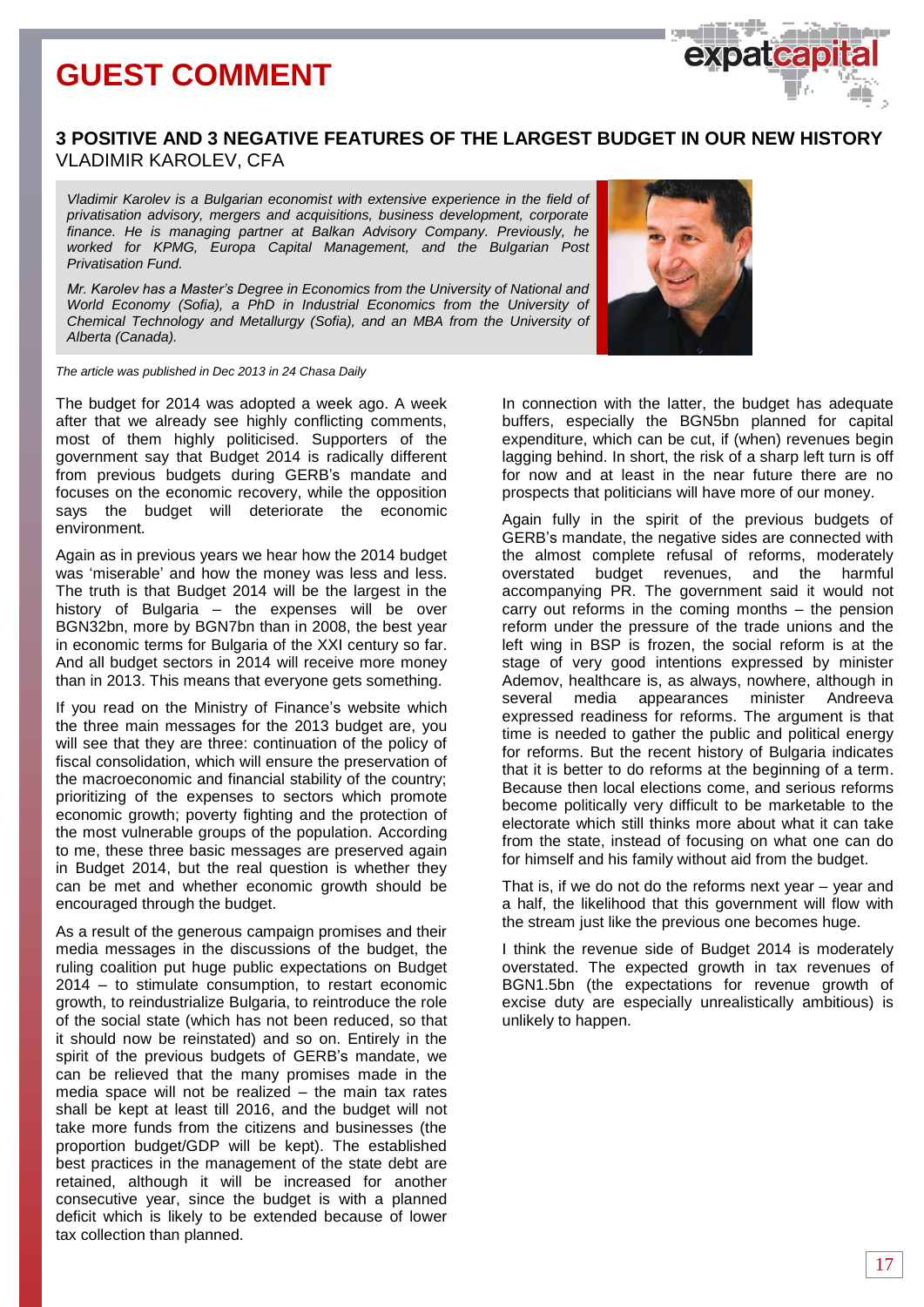### **3 POSITIVE AND 3 NEGATIVE FEATURES OF THE LARGEST BUDGET IN OUR NEW HISTORY** VLADIMIR KAROLEV, CFA

*Vladimir Karolev is a Bulgarian economist with extensive experience in the field of privatisation advisory, mergers and acquisitions, business development, corporate finance. He is managing partner at Balkan Advisory Company. Previously, he worked for KPMG, Europa Capital Management, and the Bulgarian Post Privatisation Fund.* 

*Mr. Karolev has a Master's Degree in Economics from the University of National and World Economy (Sofia), a PhD in Industrial Economics from the University of Chemical Technology and Metallurgy (Sofia), and an MBA from the University of Alberta (Canada).*

*The article was published in Dec 2013 in 24 Chasa Daily*

The budget for 2014 was adopted a week ago. A week after that we already see highly conflicting comments, most of them highly politicised. Supporters of the government say that Budget 2014 is radically different from previous budgets during GERB's mandate and focuses on the economic recovery, while the opposition says the budget will deteriorate the economic environment.

Again as in previous years we hear how the 2014 budget was 'miserable' and how the money was less and less. The truth is that Budget 2014 will be the largest in the history of Bulgaria – the expenses will be over BGN32bn, more by BGN7bn than in 2008, the best year in economic terms for Bulgaria of the XXI century so far. And all budget sectors in 2014 will receive more money than in 2013. This means that everyone gets something.

If you read on the Ministry of Finance's website which the three main messages for the 2013 budget are, you will see that they are three: continuation of the policy of fiscal consolidation, which will ensure the preservation of the macroeconomic and financial stability of the country; prioritizing of the expenses to sectors which promote economic growth; poverty fighting and the protection of the most vulnerable groups of the population. According to me, these three basic messages are preserved again in Budget 2014, but the real question is whether they can be met and whether economic growth should be encouraged through the budget.

As a result of the generous campaign promises and their media messages in the discussions of the budget, the ruling coalition put huge public expectations on Budget 2014 – to stimulate consumption, to restart economic growth, to reindustrialize Bulgaria, to reintroduce the role of the social state (which has not been reduced, so that it should now be reinstated) and so on. Entirely in the spirit of the previous budgets of GERB's mandate, we can be relieved that the many promises made in the media space will not be realized – the main tax rates shall be kept at least till 2016, and the budget will not take more funds from the citizens and businesses (the proportion budget/GDP will be kept). The established best practices in the management of the state debt are retained, although it will be increased for another consecutive year, since the budget is with a planned deficit which is likely to be extended because of lower tax collection than planned.



In connection with the latter, the budget has adequate buffers, especially the BGN5bn planned for capital expenditure, which can be cut, if (when) revenues begin lagging behind. In short, the risk of a sharp left turn is off for now and at least in the near future there are no prospects that politicians will have more of our money.

Again fully in the spirit of the previous budgets of GERB's mandate, the negative sides are connected with the almost complete refusal of reforms, moderately overstated budget revenues, and the harmful accompanying PR. The government said it would not carry out reforms in the coming months – the pension reform under the pressure of the trade unions and the left wing in BSP is frozen, the social reform is at the stage of very good intentions expressed by minister Ademov, healthcare is, as always, nowhere, although in several media appearances minister Andreeva expressed readiness for reforms. The argument is that time is needed to gather the public and political energy for reforms. But the recent history of Bulgaria indicates that it is better to do reforms at the beginning of a term. Because then local elections come, and serious reforms become politically very difficult to be marketable to the electorate which still thinks more about what it can take from the state, instead of focusing on what one can do for himself and his family without aid from the budget.

That is, if we do not do the reforms next year – year and a half, the likelihood that this government will flow with the stream just like the previous one becomes huge.

I think the revenue side of Budget 2014 is moderately overstated. The expected growth in tax revenues of BGN1.5bn (the expectations for revenue growth of excise duty are especially unrealistically ambitious) is unlikely to happen.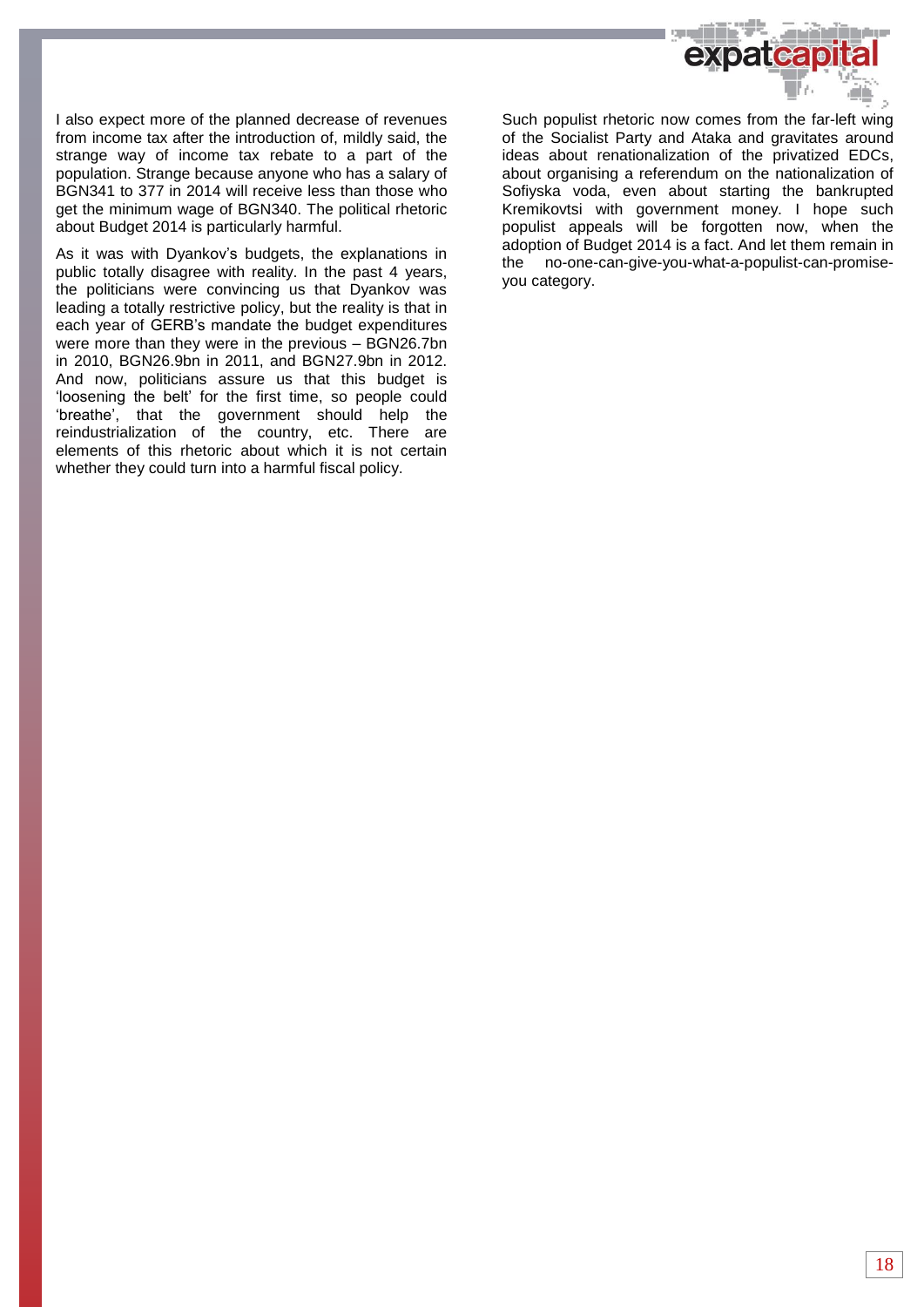

I also expect more of the planned decrease of revenues from income tax after the introduction of, mildly said, the strange way of income tax rebate to a part of the population. Strange because anyone who has a salary of BGN341 to 377 in 2014 will receive less than those who get the minimum wage of BGN340. The political rhetoric about Budget 2014 is particularly harmful.

As it was with Dyankov's budgets, the explanations in public totally disagree with reality. In the past 4 years, the politicians were convincing us that Dyankov was leading a totally restrictive policy, but the reality is that in each year of GERB's mandate the budget expenditures were more than they were in the previous – BGN26.7bn in 2010, BGN26.9bn in 2011, and BGN27.9bn in 2012. And now, politicians assure us that this budget is 'loosening the belt' for the first time, so people could 'breathe', that the government should help the reindustrialization of the country, etc. There are elements of this rhetoric about which it is not certain whether they could turn into a harmful fiscal policy.

Such populist rhetoric now comes from the far-left wing of the Socialist Party and Ataka and gravitates around ideas about renationalization of the privatized EDCs, about organising a referendum on the nationalization of Sofiyska voda, even about starting the bankrupted Kremikovtsi with government money. I hope such populist appeals will be forgotten now, when the adoption of Budget 2014 is a fact. And let them remain in the no-one-can-give-you-what-a-populist-can-promiseyou category.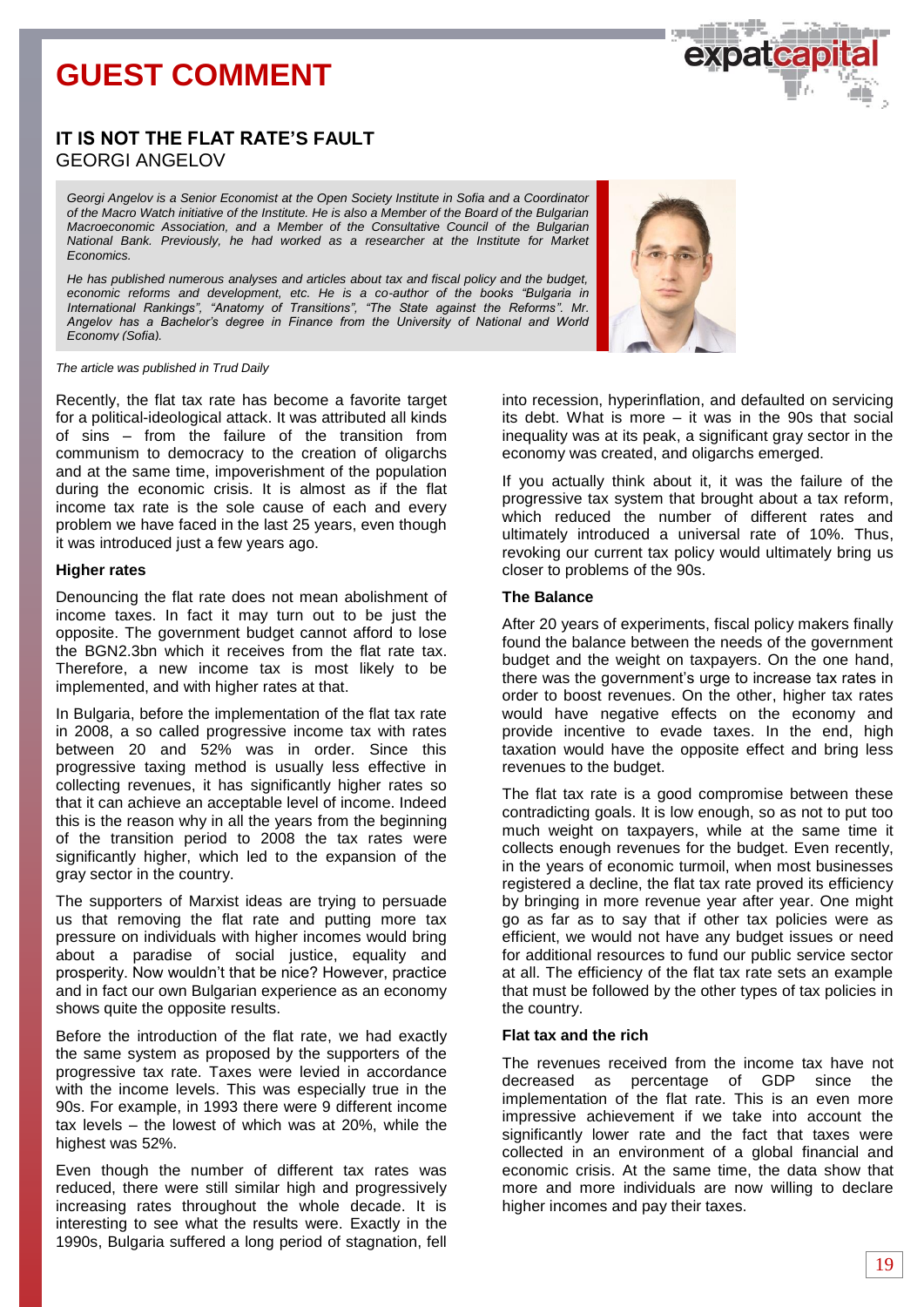

*Georgi Angelov is a Senior Economist at the Open Society Institute in Sofia and a Coordinator of the Macro Watch initiative of the Institute. He is also a Member of the Board of the Bulgarian Macroeconomic Association, and a Member of the Consultative Council of the Bulgarian National Bank. Previously, he had worked as a researcher at the Institute for Market Economics.* 

*He has published numerous analyses and articles about tax and fiscal policy and the budget, economic reforms and development, etc. He is a co-author of the books "Bulgaria in International Rankings", "Anatomy of Transitions", "The State against the Reforms". Mr. Angelov has a Bachelor's degree in Finance from the University of National and World Economy (Sofia).*

*The article was published in Trud Daily*

Recently, the flat tax rate has become a favorite target for a political-ideological attack. It was attributed all kinds of sins – from the failure of the transition from communism to democracy to the creation of oligarchs and at the same time, impoverishment of the population during the economic crisis. It is almost as if the flat income tax rate is the sole cause of each and every problem we have faced in the last 25 years, even though it was introduced just a few years ago.

#### **Higher rates**

Denouncing the flat rate does not mean abolishment of income taxes. In fact it may turn out to be just the opposite. The government budget cannot afford to lose the BGN2.3bn which it receives from the flat rate tax. Therefore, a new income tax is most likely to be implemented, and with higher rates at that.

In Bulgaria, before the implementation of the flat tax rate in 2008, a so called progressive income tax with rates between 20 and 52% was in order. Since this progressive taxing method is usually less effective in collecting revenues, it has significantly higher rates so that it can achieve an acceptable level of income. Indeed this is the reason why in all the years from the beginning of the transition period to 2008 the tax rates were significantly higher, which led to the expansion of the gray sector in the country.

The supporters of Marxist ideas are trying to persuade us that removing the flat rate and putting more tax pressure on individuals with higher incomes would bring about a paradise of social justice, equality and prosperity. Now wouldn't that be nice? However, practice and in fact our own Bulgarian experience as an economy shows quite the opposite results.

Before the introduction of the flat rate, we had exactly the same system as proposed by the supporters of the progressive tax rate. Taxes were levied in accordance with the income levels. This was especially true in the 90s. For example, in 1993 there were 9 different income tax levels – the lowest of which was at 20%, while the highest was 52%.

Even though the number of different tax rates was reduced, there were still similar high and progressively increasing rates throughout the whole decade. It is interesting to see what the results were. Exactly in the 1990s, Bulgaria suffered a long period of stagnation, fell



into recession, hyperinflation, and defaulted on servicing its debt. What is more – it was in the 90s that social inequality was at its peak, a significant gray sector in the economy was created, and oligarchs emerged.

If you actually think about it, it was the failure of the progressive tax system that brought about a tax reform, which reduced the number of different rates and ultimately introduced a universal rate of 10%. Thus, revoking our current tax policy would ultimately bring us closer to problems of the 90s.

#### **The Balance**

After 20 years of experiments, fiscal policy makers finally found the balance between the needs of the government budget and the weight on taxpayers. On the one hand, there was the government's urge to increase tax rates in order to boost revenues. On the other, higher tax rates would have negative effects on the economy and provide incentive to evade taxes. In the end, high taxation would have the opposite effect and bring less revenues to the budget.

The flat tax rate is a good compromise between these contradicting goals. It is low enough, so as not to put too much weight on taxpayers, while at the same time it collects enough revenues for the budget. Even recently, in the years of economic turmoil, when most businesses registered a decline, the flat tax rate proved its efficiency by bringing in more revenue year after year. One might go as far as to say that if other tax policies were as efficient, we would not have any budget issues or need for additional resources to fund our public service sector at all. The efficiency of the flat tax rate sets an example that must be followed by the other types of tax policies in the country.

#### **Flat tax and the rich**

The revenues received from the income tax have not decreased as percentage of GDP since the implementation of the flat rate. This is an even more impressive achievement if we take into account the significantly lower rate and the fact that taxes were collected in an environment of a global financial and economic crisis. At the same time, the data show that more and more individuals are now willing to declare higher incomes and pay their taxes.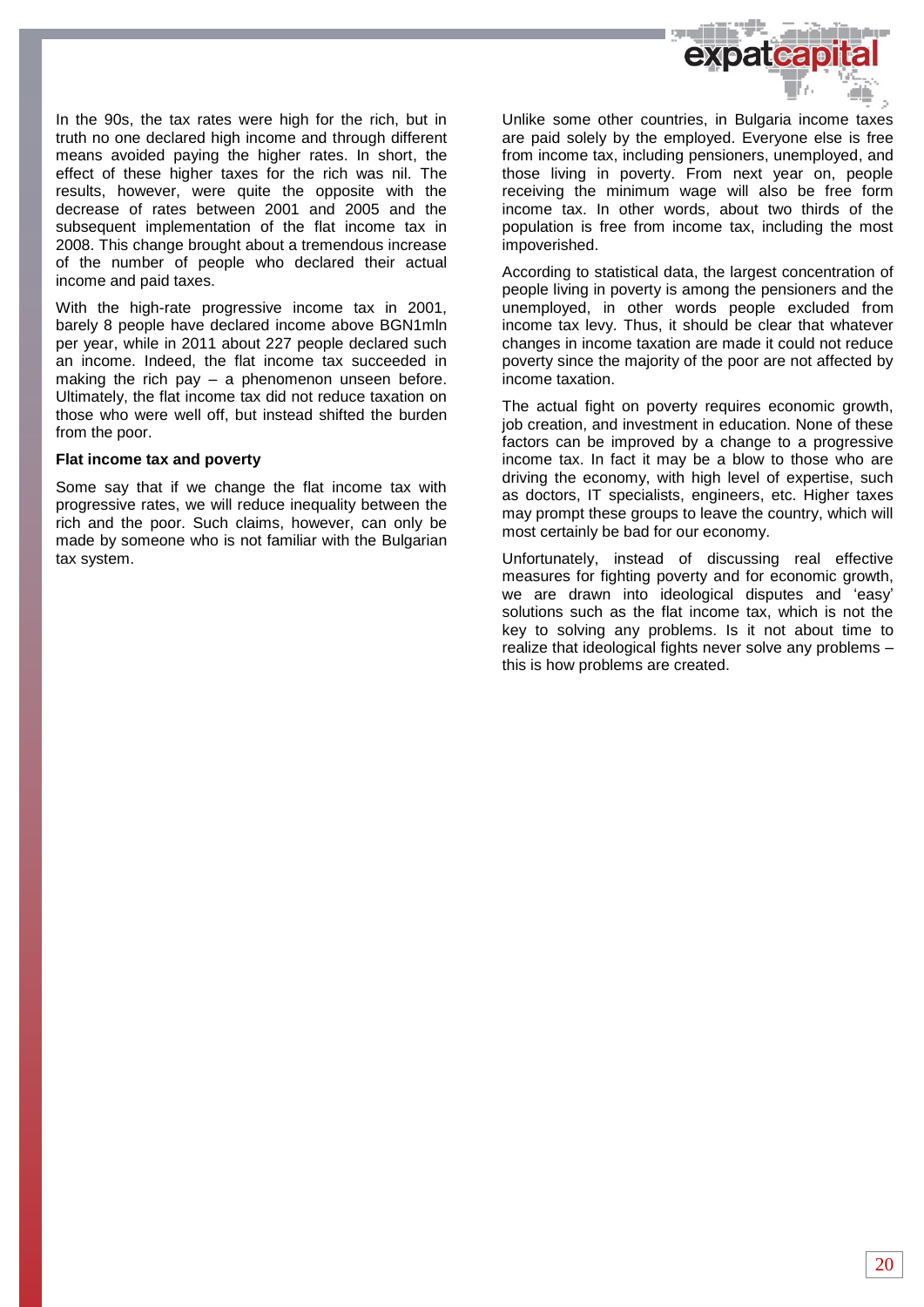

In the 90s, the tax rates were high for the rich, but in truth no one declared high income and through different means avoided paying the higher rates. In short, the effect of these higher taxes for the rich was nil. The results, however, were quite the opposite with the decrease of rates between 2001 and 2005 and the subsequent implementation of the flat income tax in 2008. This change brought about a tremendous increase of the number of people who declared their actual income and paid taxes.

With the high-rate progressive income tax in 2001, barely 8 people have declared income above BGN1mln per year, while in 2011 about 227 people declared such an income. Indeed, the flat income tax succeeded in making the rich pay – a phenomenon unseen before. Ultimately, the flat income tax did not reduce taxation on those who were well off, but instead shifted the burden from the poor.

#### **Flat income tax and poverty**

Some say that if we change the flat income tax with progressive rates, we will reduce inequality between the rich and the poor. Such claims, however, can only be made by someone who is not familiar with the Bulgarian tax system.

Unlike some other countries, in Bulgaria income taxes are paid solely by the employed. Everyone else is free from income tax, including pensioners, unemployed, and those living in poverty. From next year on, people receiving the minimum wage will also be free form income tax. In other words, about two thirds of the population is free from income tax, including the most impoverished.

According to statistical data, the largest concentration of people living in poverty is among the pensioners and the unemployed, in other words people excluded from income tax levy. Thus, it should be clear that whatever changes in income taxation are made it could not reduce poverty since the majority of the poor are not affected by income taxation.

The actual fight on poverty requires economic growth, job creation, and investment in education. None of these factors can be improved by a change to a progressive income tax. In fact it may be a blow to those who are driving the economy, with high level of expertise, such as doctors, IT specialists, engineers, etc. Higher taxes may prompt these groups to leave the country, which will most certainly be bad for our economy.

Unfortunately, instead of discussing real effective measures for fighting poverty and for economic growth, we are drawn into ideological disputes and 'easy' solutions such as the flat income tax, which is not the key to solving any problems. Is it not about time to realize that ideological fights never solve any problems – this is how problems are created.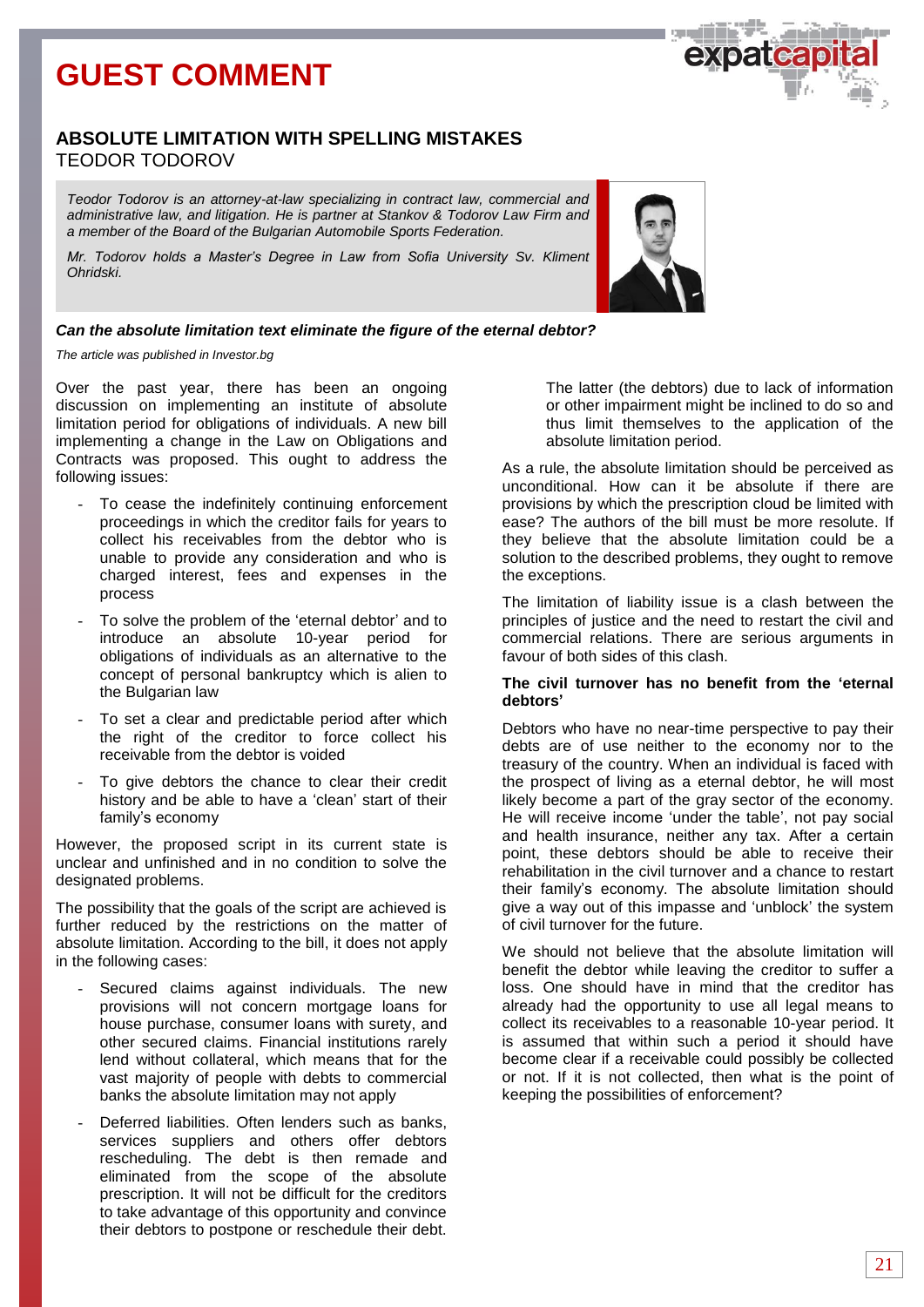

### **ABSOLUTE LIMITATION WITH SPELLING MISTAKES** TEODOR TODOROV

*Teodor Todorov is an attorney-at-law specializing in contract law, commercial and administrative law, and litigation. He is partner at Stankov & Todorov Law Firm and a member of the Board of the Bulgarian [Automobile Sports Federation.](http://www.linkedin.com/search?search=&company=Bulgarian+Automobile+Sports+Federation&sortCriteria=R&keepFacets=true&trk=prof-exp-company-name)*

*Mr. Todorov holds a Master's Degree in Law from Sofia University Sv. Kliment Ohridski.*



#### *Can the absolute limitation text eliminate the figure of the eternal debtor?*

*The article was published in Investor.bg*

Over the past year, there has been an ongoing discussion on implementing an institute of absolute limitation period for obligations of individuals. A new bill implementing a change in the Law on Obligations and Contracts was proposed. This ought to address the following issues:

- To cease the indefinitely continuing enforcement proceedings in which the creditor fails for years to collect his receivables from the debtor who is unable to provide any consideration and who is charged interest, fees and expenses in the process
- To solve the problem of the 'eternal debtor' and to introduce an absolute 10-year period for obligations of individuals as an alternative to the concept of personal bankruptcy which is alien to the Bulgarian law
- To set a clear and predictable period after which the right of the creditor to force collect his receivable from the debtor is voided
- To give debtors the chance to clear their credit history and be able to have a 'clean' start of their family's economy

However, the proposed script in its current state is unclear and unfinished and in no condition to solve the designated problems.

The possibility that the goals of the script are achieved is further reduced by the restrictions on the matter of absolute limitation. According to the bill, it does not apply in the following cases:

- Secured claims against individuals. The new provisions will not concern mortgage loans for house purchase, consumer loans with surety, and other secured claims. Financial institutions rarely lend without collateral, which means that for the vast majority of people with debts to commercial banks the absolute limitation may not apply
- Deferred liabilities. Often lenders such as banks, services suppliers and others offer debtors rescheduling. The debt is then remade and eliminated from the scope of the absolute prescription. It will not be difficult for the creditors to take advantage of this opportunity and convince their debtors to postpone or reschedule their debt.

The latter (the debtors) due to lack of information or other impairment might be inclined to do so and thus limit themselves to the application of the absolute limitation period.

As a rule, the absolute limitation should be perceived as unconditional. How can it be absolute if there are provisions by which the prescription cloud be limited with ease? The authors of the bill must be more resolute. If they believe that the absolute limitation could be a solution to the described problems, they ought to remove the exceptions.

The limitation of liability issue is a clash between the principles of justice and the need to restart the civil and commercial relations. There are serious arguments in favour of both sides of this clash.

#### **The civil turnover has no benefit from the 'eternal debtors'**

Debtors who have no near-time perspective to pay their debts are of use neither to the economy nor to the treasury of the country. When an individual is faced with the prospect of living as a eternal debtor, he will most likely become a part of the gray sector of the economy. He will receive income 'under the table', not pay social and health insurance, neither any tax. After a certain point, these debtors should be able to receive their rehabilitation in the civil turnover and a chance to restart their family's economy. The absolute limitation should give a way out of this impasse and 'unblock' the system of civil turnover for the future.

We should not believe that the absolute limitation will benefit the debtor while leaving the creditor to suffer a loss. One should have in mind that the creditor has already had the opportunity to use all legal means to collect its receivables to a reasonable 10-year period. It is assumed that within such a period it should have become clear if a receivable could possibly be collected or not. If it is not collected, then what is the point of keeping the possibilities of enforcement?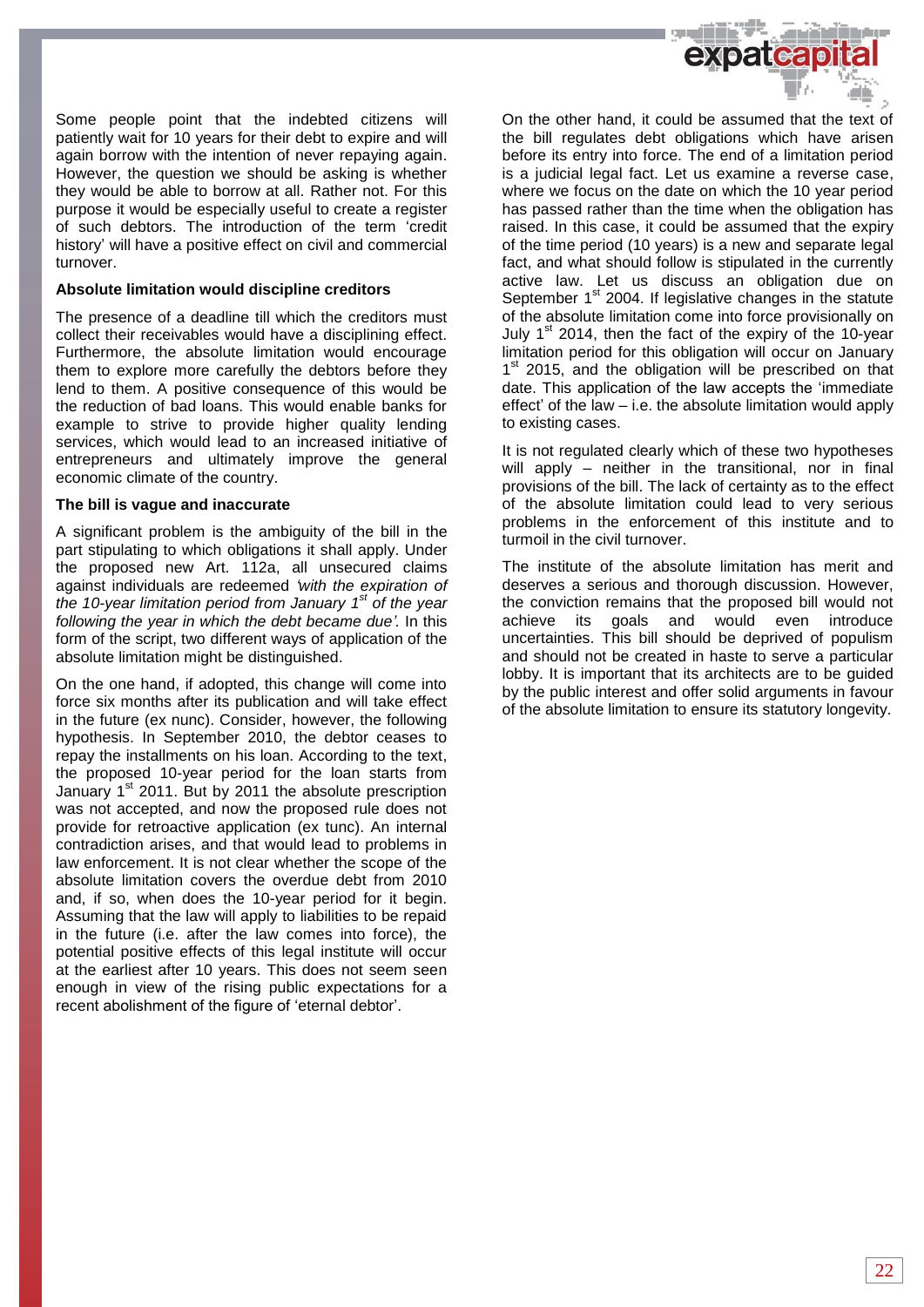

Some people point that the indebted citizens will patiently wait for 10 years for their debt to expire and will again borrow with the intention of never repaying again. However, the question we should be asking is whether they would be able to borrow at all. Rather not. For this purpose it would be especially useful to create a register of such debtors. The introduction of the term 'credit history' will have a positive effect on civil and commercial turnover.

#### **Absolute limitation would discipline creditors**

The presence of a deadline till which the creditors must collect their receivables would have a disciplining effect. Furthermore, the absolute limitation would encourage them to explore more carefully the debtors before they lend to them. A positive consequence of this would be the reduction of bad loans. This would enable banks for example to strive to provide higher quality lending services, which would lead to an increased initiative of entrepreneurs and ultimately improve the general economic climate of the country.

#### **The bill is vague and inaccurate**

A significant problem is the ambiguity of the bill in the part stipulating to which obligations it shall apply. Under the proposed new Art. 112a, all unsecured claims against individuals are redeemed *'with the expiration of the 10-year limitation period from January 1 st of the year following the year in which the debt became due'.* In this form of the script, two different ways of application of the absolute limitation might be distinguished.

On the one hand, if adopted, this change will come into force six months after its publication and will take effect in the future (ex nunc). Consider, however, the following hypothesis. In September 2010, the debtor ceases to repay the installments on his loan. According to the text, the proposed 10-year period for the loan starts from January 1<sup>st</sup> 2011. But by 2011 the absolute prescription was not accepted, and now the proposed rule does not provide for retroactive application (ex tunc). An internal contradiction arises, and that would lead to problems in law enforcement. It is not clear whether the scope of the absolute limitation covers the overdue debt from 2010 and, if so, when does the 10-year period for it begin. Assuming that the law will apply to liabilities to be repaid in the future (i.e. after the law comes into force), the potential positive effects of this legal institute will occur at the earliest after 10 years. This does not seem seen enough in view of the rising public expectations for a recent abolishment of the figure of 'eternal debtor'.

On the other hand, it could be assumed that the text of the bill regulates debt obligations which have arisen before its entry into force. The end of a limitation period is a judicial legal fact. Let us examine a reverse case, where we focus on the date on which the 10 year period has passed rather than the time when the obligation has raised. In this case, it could be assumed that the expiry of the time period (10 years) is a new and separate legal fact, and what should follow is stipulated in the currently active law. Let us discuss an obligation due on September 1<sup>st</sup> 2004. If legislative changes in the statute of the absolute limitation come into force provisionally on July 1<sup>st</sup> 2014, then the fact of the expiry of the 10-year limitation period for this obligation will occur on January 1<sup>st</sup> 2015, and the obligation will be prescribed on that date. This application of the law accepts the 'immediate effect' of the law – i.e. the absolute limitation would apply to existing cases.

It is not regulated clearly which of these two hypotheses will apply – neither in the transitional, nor in final provisions of the bill. The lack of certainty as to the effect of the absolute limitation could lead to very serious problems in the enforcement of this institute and to turmoil in the civil turnover.

The institute of the absolute limitation has merit and deserves a serious and thorough discussion. However, the conviction remains that the proposed bill would not achieve its goals and would even introduce uncertainties. This bill should be deprived of populism and should not be created in haste to serve a particular lobby. It is important that its architects are to be guided by the public interest and offer solid arguments in favour of the absolute limitation to ensure its statutory longevity.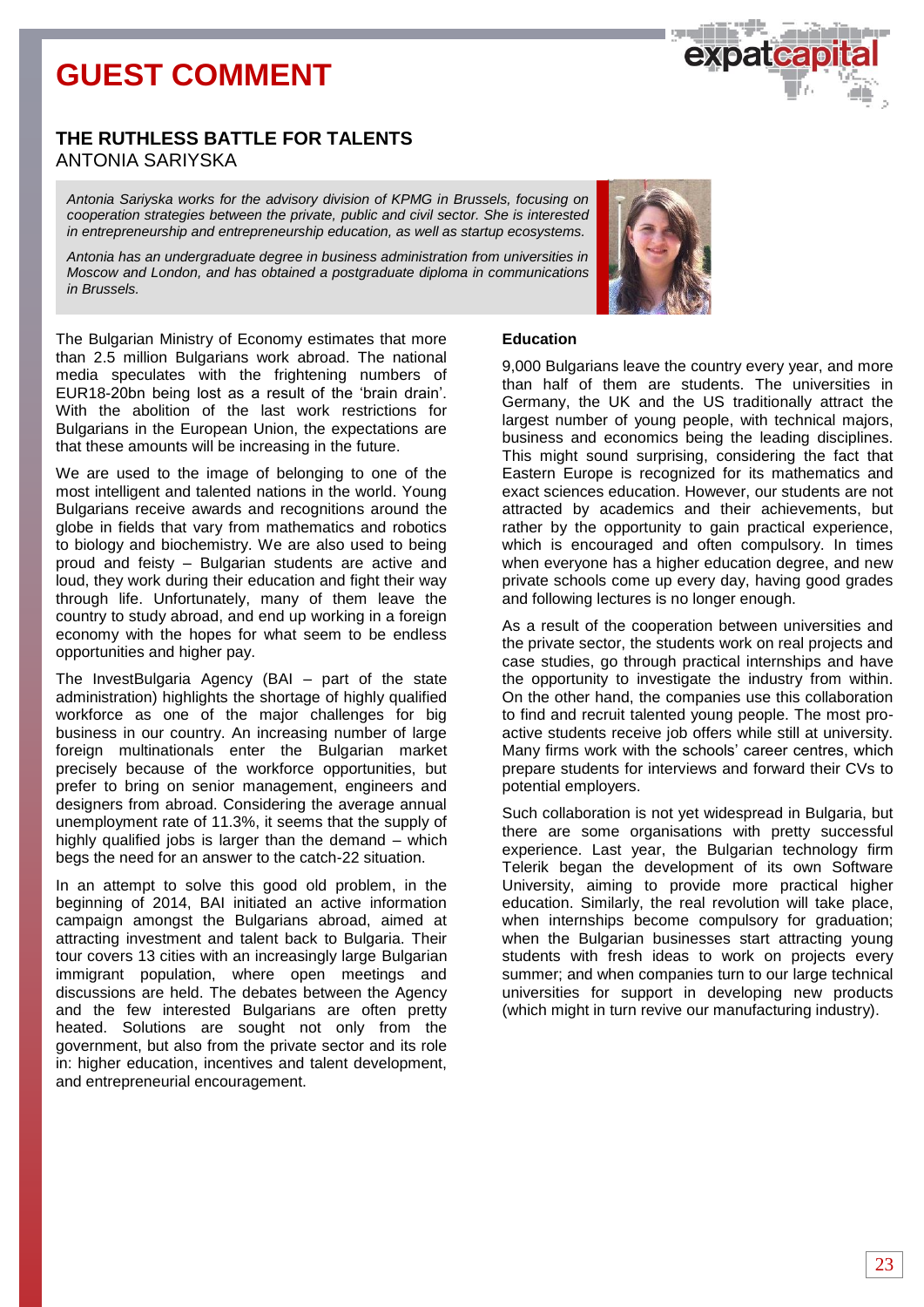### **THE RUTHLESS BATTLE FOR TALENTS** ANTONIA SARIYSKA

*Antonia Sariyska works for the advisory division of KPMG in Brussels, focusing on cooperation strategies between the private, public and civil sector. She is interested in entrepreneurship and entrepreneurship education, as well as startup ecosystems.* 

*Antonia has an undergraduate degree in business administration from universities in Moscow and London, and has obtained a postgraduate diploma in communications in Brussels.*

The Bulgarian Ministry of Economy estimates that more than 2.5 million Bulgarians work abroad. The national media speculates with the frightening numbers of EUR18-20bn being lost as a result of the 'brain drain'. With the abolition of the last work restrictions for Bulgarians in the European Union, the expectations are that these amounts will be increasing in the future.

We are used to the image of belonging to one of the most intelligent and talented nations in the world. Young Bulgarians receive awards and recognitions around the globe in fields that vary from mathematics and robotics to biology and biochemistry. We are also used to being proud and feisty – Bulgarian students are active and loud, they work during their education and fight their way through life. Unfortunately, many of them leave the country to study abroad, and end up working in a foreign economy with the hopes for what seem to be endless opportunities and higher pay.

The InvestBulgaria Agency (BAI – part of the state administration) highlights the shortage of highly qualified workforce as one of the major challenges for big business in our country. An increasing number of large foreign multinationals enter the Bulgarian market precisely because of the workforce opportunities, but prefer to bring on senior management, engineers and designers from abroad. Considering the average annual unemployment rate of 11.3%, it seems that the supply of highly qualified jobs is larger than the demand – which begs the need for an answer to the catch-22 situation.

In an attempt to solve this good old problem, in the beginning of 2014, BAI initiated an active information campaign amongst the Bulgarians abroad, aimed at attracting investment and talent back to Bulgaria. Their tour covers 13 cities with an increasingly large Bulgarian immigrant population, where open meetings and discussions are held. The debates between the Agency and the few interested Bulgarians are often pretty heated. Solutions are sought not only from the government, but also from the private sector and its role in: higher education, incentives and talent development, and entrepreneurial encouragement.

#### **Education**

9,000 Bulgarians leave the country every year, and more than half of them are students. The universities in Germany, the UK and the US traditionally attract the largest number of young people, with technical majors, business and economics being the leading disciplines. This might sound surprising, considering the fact that Eastern Europe is recognized for its mathematics and exact sciences education. However, our students are not attracted by academics and their achievements, but rather by the opportunity to gain practical experience, which is encouraged and often compulsory. In times when everyone has a higher education degree, and new private schools come up every day, having good grades and following lectures is no longer enough.

As a result of the cooperation between universities and the private sector, the students work on real projects and case studies, go through practical internships and have the opportunity to investigate the industry from within. On the other hand, the companies use this collaboration to find and recruit talented young people. The most proactive students receive job offers while still at university. Many firms work with the schools' career centres, which prepare students for interviews and forward their CVs to potential employers.

Such collaboration is not yet widespread in Bulgaria, but there are some organisations with pretty successful experience. Last year, the Bulgarian technology firm Telerik began the development of its own Software University, aiming to provide more practical higher education. Similarly, the real revolution will take place, when internships become compulsory for graduation; when the Bulgarian businesses start attracting young students with fresh ideas to work on projects every summer; and when companies turn to our large technical universities for support in developing new products (which might in turn revive our manufacturing industry).



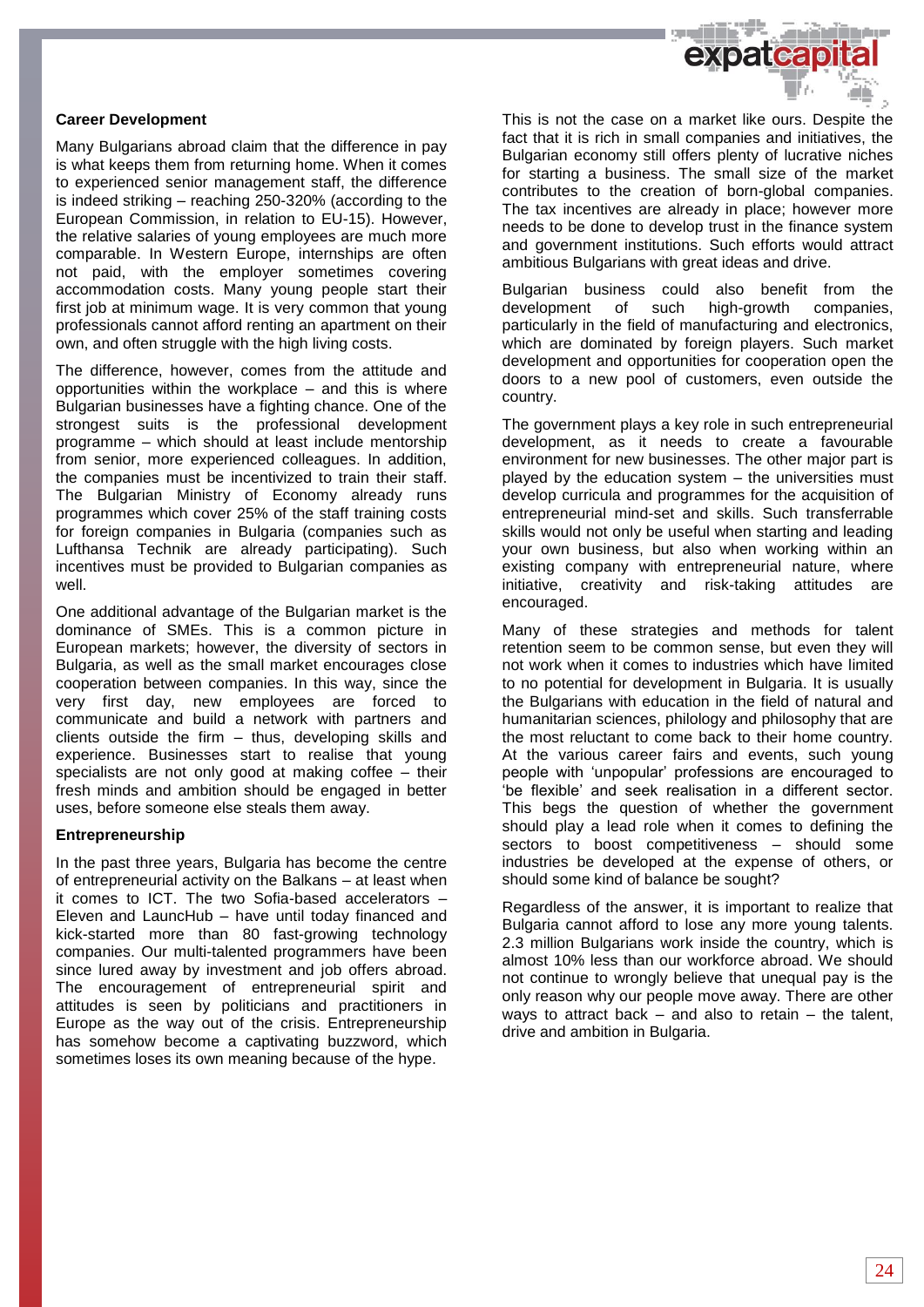

#### **Career Development**

Many Bulgarians abroad claim that the difference in pay is what keeps them from returning home. When it comes to experienced senior management staff, the difference is indeed striking – reaching 250-320% (according to the European Commission, in relation to EU-15). However, the relative salaries of young employees are much more comparable. In Western Europe, internships are often not paid, with the employer sometimes covering accommodation costs. Many young people start their first job at minimum wage. It is very common that young professionals cannot afford renting an apartment on their own, and often struggle with the high living costs.

The difference, however, comes from the attitude and opportunities within the workplace – and this is where Bulgarian businesses have a fighting chance. One of the strongest suits is the professional development programme – which should at least include mentorship from senior, more experienced colleagues. In addition, the companies must be incentivized to train their staff. The Bulgarian Ministry of Economy already runs programmes which cover 25% of the staff training costs for foreign companies in Bulgaria (companies such as Lufthansa Technik are already participating). Such incentives must be provided to Bulgarian companies as well.

One additional advantage of the Bulgarian market is the dominance of SMEs. This is a common picture in European markets; however, the diversity of sectors in Bulgaria, as well as the small market encourages close cooperation between companies. In this way, since the very first day, new employees are forced to communicate and build a network with partners and clients outside the firm – thus, developing skills and experience. Businesses start to realise that young specialists are not only good at making coffee – their fresh minds and ambition should be engaged in better uses, before someone else steals them away.

#### **Entrepreneurship**

In the past three years, Bulgaria has become the centre of entrepreneurial activity on the Balkans – at least when it comes to ICT. The two Sofia-based accelerators – Eleven and LauncHub – have until today financed and kick-started more than 80 fast-growing technology companies. Our multi-talented programmers have been since lured away by investment and job offers abroad. The encouragement of entrepreneurial spirit and attitudes is seen by politicians and practitioners in Europe as the way out of the crisis. Entrepreneurship has somehow become a captivating buzzword, which sometimes loses its own meaning because of the hype.

This is not the case on a market like ours. Despite the fact that it is rich in small companies and initiatives, the Bulgarian economy still offers plenty of lucrative niches for starting a business. The small size of the market contributes to the creation of born-global companies. The tax incentives are already in place; however more needs to be done to develop trust in the finance system and government institutions. Such efforts would attract ambitious Bulgarians with great ideas and drive.

Bulgarian business could also benefit from the development of such high-growth companies, particularly in the field of manufacturing and electronics, which are dominated by foreign players. Such market development and opportunities for cooperation open the doors to a new pool of customers, even outside the country.

The government plays a key role in such entrepreneurial development, as it needs to create a favourable environment for new businesses. The other major part is played by the education system – the universities must develop curricula and programmes for the acquisition of entrepreneurial mind-set and skills. Such transferrable skills would not only be useful when starting and leading your own business, but also when working within an existing company with entrepreneurial nature, where initiative, creativity and risk-taking attitudes are encouraged.

Many of these strategies and methods for talent retention seem to be common sense, but even they will not work when it comes to industries which have limited to no potential for development in Bulgaria. It is usually the Bulgarians with education in the field of natural and humanitarian sciences, philology and philosophy that are the most reluctant to come back to their home country. At the various career fairs and events, such young people with 'unpopular' professions are encouraged to 'be flexible' and seek realisation in a different sector. This begs the question of whether the government should play a lead role when it comes to defining the sectors to boost competitiveness – should some industries be developed at the expense of others, or should some kind of balance be sought?

Regardless of the answer, it is important to realize that Bulgaria cannot afford to lose any more young talents. 2.3 million Bulgarians work inside the country, which is almost 10% less than our workforce abroad. We should not continue to wrongly believe that unequal pay is the only reason why our people move away. There are other ways to attract back – and also to retain – the talent, drive and ambition in Bulgaria.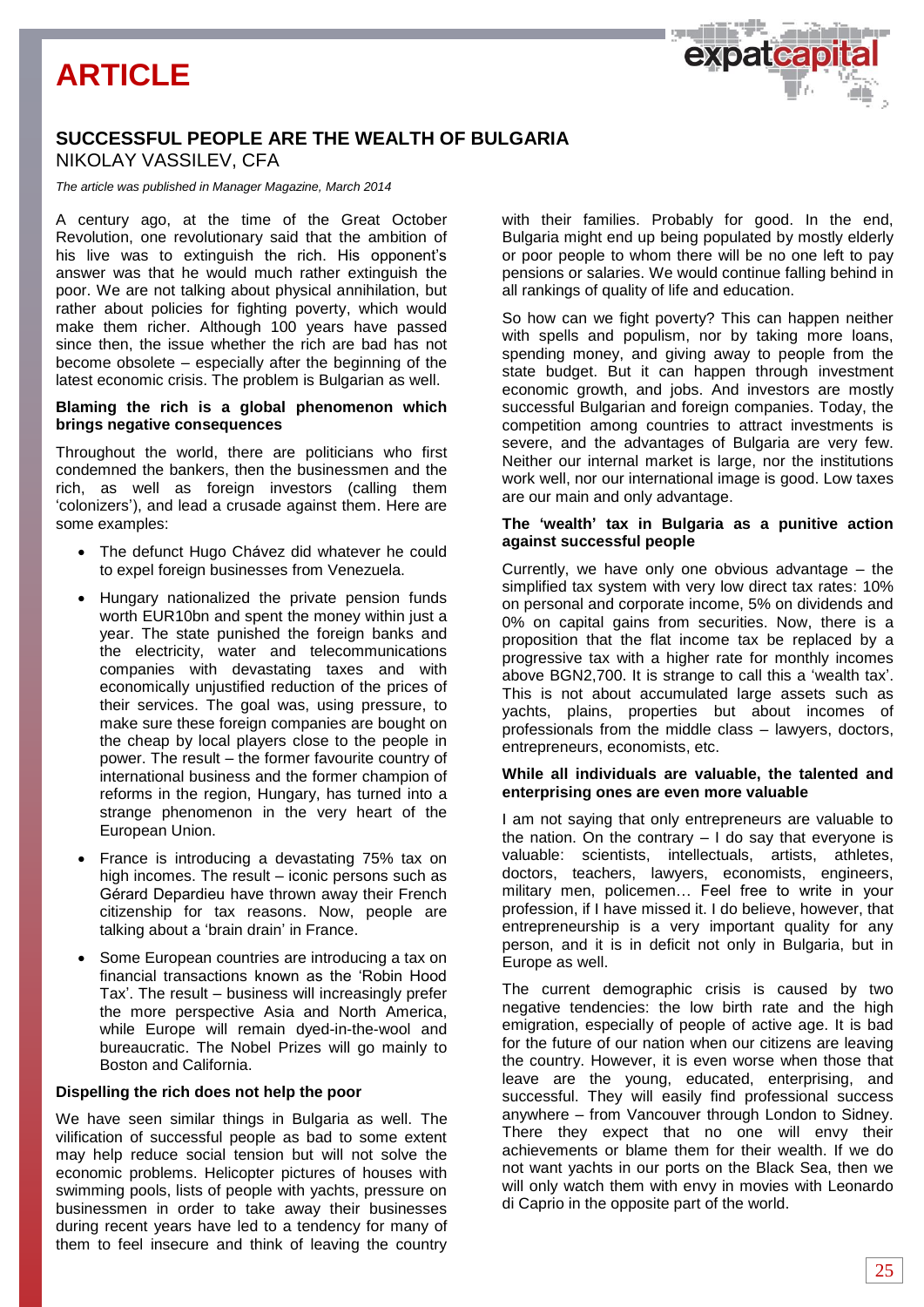# **ARTICLE**

### **SUCCESSFUL PEOPLE ARE THE WEALTH OF BULGARIA**  NIKOLAY VASSILEV, CFA

#### *The article was published in Manager Magazine, March 2014*

A century ago, at the time of the Great October Revolution, one revolutionary said that the ambition of his live was to extinguish the rich. His opponent's answer was that he would much rather extinguish the poor. We are not talking about physical annihilation, but rather about policies for fighting poverty, which would make them richer. Although 100 years have passed since then, the issue whether the rich are bad has not become obsolete – especially after the beginning of the latest economic crisis. The problem is Bulgarian as well.

#### **Blaming the rich is a global phenomenon which brings negative consequences**

Throughout the world, there are politicians who first condemned the bankers, then the businessmen and the rich, as well as foreign investors (calling them 'colonizers'), and lead a crusade against them. Here are some examples:

- The defunct Hugo Chávez did whatever he could to expel foreign businesses from Venezuela.
- Hungary nationalized the private pension funds worth EUR10bn and spent the money within just a year. The state punished the foreign banks and the electricity, water and telecommunications companies with devastating taxes and with economically unjustified reduction of the prices of their services. The goal was, using pressure, to make sure these foreign companies are bought on the cheap by local players close to the people in power. The result – the former favourite country of international business and the former champion of reforms in the region, Hungary, has turned into a strange phenomenon in the very heart of the European Union.
- France is introducing a devastating 75% tax on high incomes. The result – iconic persons such as Gérard Depardieu have thrown away their French citizenship for tax reasons. Now, people are talking about a 'brain drain' in France.
- Some European countries are introducing a tax on financial transactions known as the 'Robin Hood Tax'. The result – business will increasingly prefer the more perspective Asia and North America, while Europe will remain dyed-in-the-wool and bureaucratic. The Nobel Prizes will go mainly to Boston and California.

#### **Dispelling the rich does not help the poor**

We have seen similar things in Bulgaria as well. The vilification of successful people as bad to some extent may help reduce social tension but will not solve the economic problems. Helicopter pictures of houses with swimming pools, lists of people with yachts, pressure on businessmen in order to take away their businesses during recent years have led to a tendency for many of them to feel insecure and think of leaving the country

with their families. Probably for good. In the end, Bulgaria might end up being populated by mostly elderly or poor people to whom there will be no one left to pay pensions or salaries. We would continue falling behind in all rankings of quality of life and education.

expatcap

So how can we fight poverty? This can happen neither with spells and populism, nor by taking more loans, spending money, and giving away to people from the state budget. But it can happen through investment economic growth, and jobs. And investors are mostly successful Bulgarian and foreign companies. Today, the competition among countries to attract investments is severe, and the advantages of Bulgaria are very few. Neither our internal market is large, nor the institutions work well, nor our international image is good. Low taxes are our main and only advantage.

#### **The 'wealth' tax in Bulgaria as a punitive action against successful people**

Currently, we have only one obvious advantage – the simplified tax system with very low direct tax rates: 10% on personal and corporate income, 5% on dividends and 0% on capital gains from securities. Now, there is a proposition that the flat income tax be replaced by a progressive tax with a higher rate for monthly incomes above BGN2,700. It is strange to call this a 'wealth tax'. This is not about accumulated large assets such as yachts, plains, properties but about incomes of professionals from the middle class – lawyers, doctors, entrepreneurs, economists, etc.

#### **While all individuals are valuable, the talented and enterprising ones are even more valuable**

I am not saying that only entrepreneurs are valuable to the nation. On the contrary  $-1$  do say that everyone is valuable: scientists, intellectuals, artists, athletes, doctors, teachers, lawyers, economists, engineers, military men, policemen… Feel free to write in your profession, if I have missed it. I do believe, however, that entrepreneurship is a very important quality for any person, and it is in deficit not only in Bulgaria, but in Europe as well.

The current demographic crisis is caused by two negative tendencies: the low birth rate and the high emigration, especially of people of active age. It is bad for the future of our nation when our citizens are leaving the country. However, it is even worse when those that leave are the young, educated, enterprising, and successful. They will easily find professional success anywhere – from Vancouver through London to Sidney. There they expect that no one will envy their achievements or blame them for their wealth. If we do not want yachts in our ports on the Black Sea, then we will only watch them with envy in movies with Leonardo di Caprio in the opposite part of the world.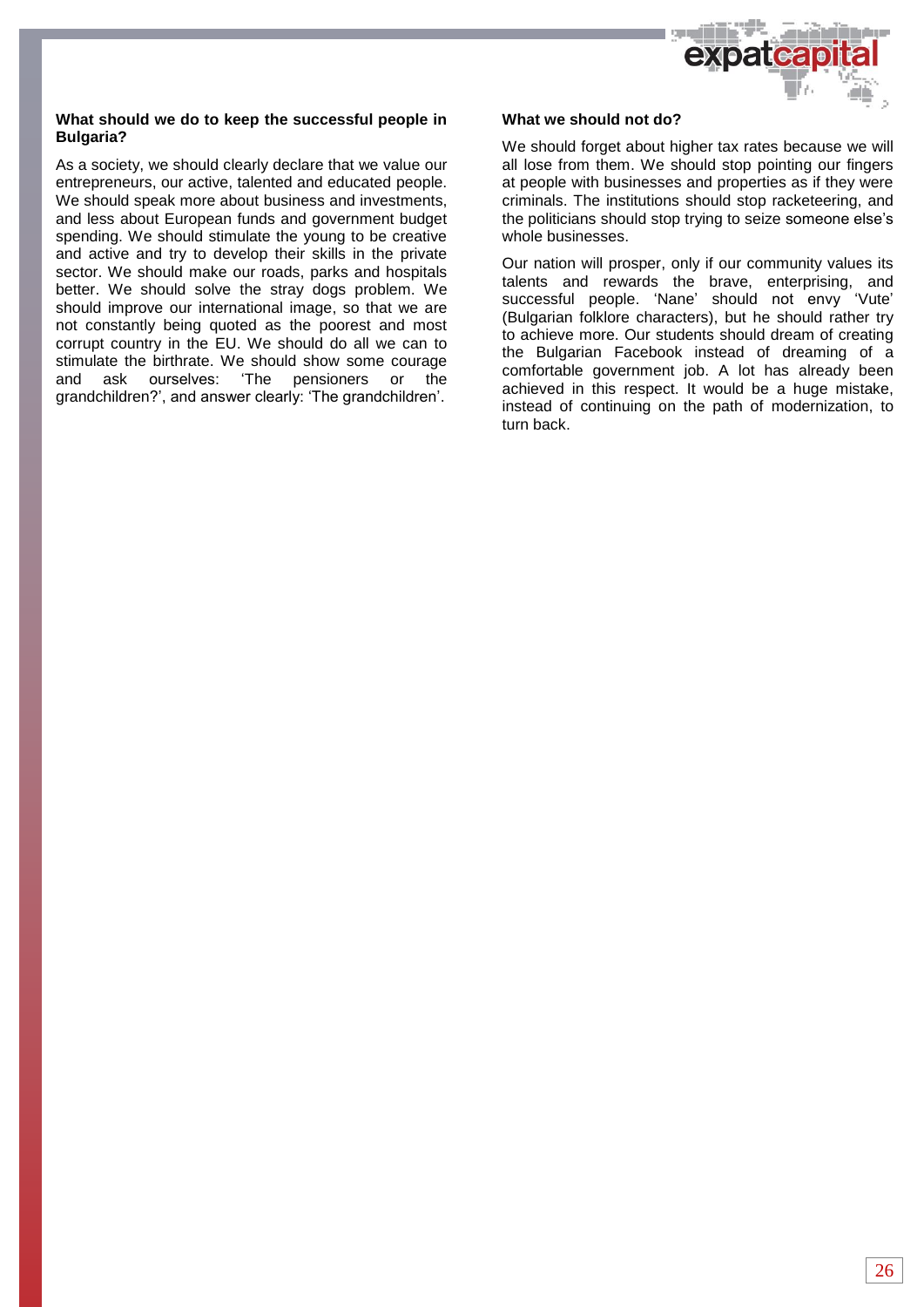

#### **What should we do to keep the successful people in Bulgaria?**

As a society, we should clearly declare that we value our entrepreneurs, our active, talented and educated people. We should speak more about business and investments, and less about European funds and government budget spending. We should stimulate the young to be creative and active and try to develop their skills in the private sector. We should make our roads, parks and hospitals better. We should solve the stray dogs problem. We should improve our international image, so that we are not constantly being quoted as the poorest and most corrupt country in the EU. We should do all we can to stimulate the birthrate. We should show some courage and ask ourselves: 'The pensioners or the grandchildren?', and answer clearly: 'The grandchildren'.

#### **What we should not do?**

We should forget about higher tax rates because we will all lose from them. We should stop pointing our fingers at people with businesses and properties as if they were criminals. The institutions should stop racketeering, and the politicians should stop trying to seize someone else's whole businesses.

Our nation will prosper, only if our community values its talents and rewards the brave, enterprising, and successful people. 'Nane' should not envy 'Vute' (Bulgarian folklore characters), but he should rather try to achieve more. Our students should dream of creating the Bulgarian Facebook instead of dreaming of a comfortable government job. A lot has already been achieved in this respect. It would be a huge mistake, instead of continuing on the path of modernization, to turn back.